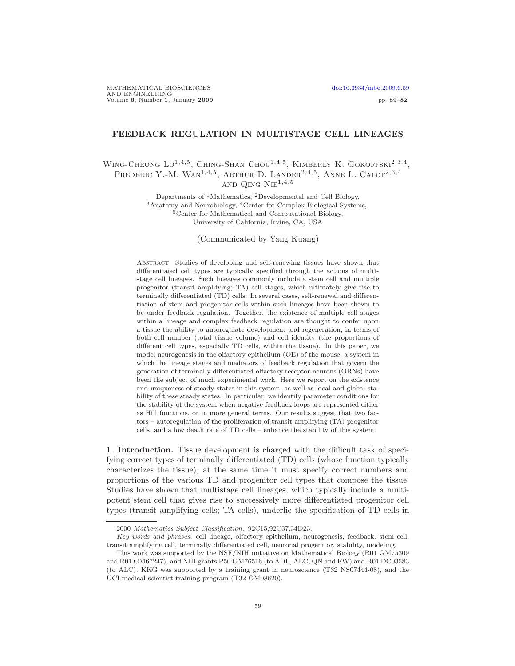# FEEDBACK REGULATION IN MULTISTAGE CELL LINEAGES

## WING-CHEONG  $Lo^{1,4,5}$ , CHING-SHAN CHOU<sup>1,4,5</sup>, KIMBERLY K. GOKOFFSKI<sup>2,3,4</sup>, FREDERIC Y.-M. WAN<sup>1,4,5</sup>, ARTHUR D. LANDER<sup>2,4,5</sup>, ANNE L. CALOF<sup>2,3,4</sup> AND OING  $NIE^{1,4,5}$

Departments of  ${}^{1}$ Mathematics,  ${}^{2}$ Developmental and Cell Biology, <sup>3</sup>Anatomy and Neurobiology, <sup>4</sup>Center for Complex Biological Systems, <sup>5</sup>Center for Mathematical and Computational Biology, University of California, Irvine, CA, USA

(Communicated by Yang Kuang)

Abstract. Studies of developing and self-renewing tissues have shown that differentiated cell types are typically specified through the actions of multistage cell lineages. Such lineages commonly include a stem cell and multiple progenitor (transit amplifying; TA) cell stages, which ultimately give rise to terminally differentiated (TD) cells. In several cases, self-renewal and differentiation of stem and progenitor cells within such lineages have been shown to be under feedback regulation. Together, the existence of multiple cell stages within a lineage and complex feedback regulation are thought to confer upon a tissue the ability to autoregulate development and regeneration, in terms of both cell number (total tissue volume) and cell identity (the proportions of different cell types, especially TD cells, within the tissue). In this paper, we model neurogenesis in the olfactory epithelium (OE) of the mouse, a system in which the lineage stages and mediators of feedback regulation that govern the generation of terminally differentiated olfactory receptor neurons (ORNs) have been the subject of much experimental work. Here we report on the existence and uniqueness of steady states in this system, as well as local and global stability of these steady states. In particular, we identify parameter conditions for the stability of the system when negative feedback loops are represented either as Hill functions, or in more general terms. Our results suggest that two factors – autoregulation of the proliferation of transit amplifying (TA) progenitor cells, and a low death rate of TD cells – enhance the stability of this system.

1. Introduction. Tissue development is charged with the difficult task of specifying correct types of terminally differentiated (TD) cells (whose function typically characterizes the tissue), at the same time it must specify correct numbers and proportions of the various TD and progenitor cell types that compose the tissue. Studies have shown that multistage cell lineages, which typically include a multipotent stem cell that gives rise to successively more differentiated progenitor cell types (transit amplifying cells; TA cells), underlie the specification of TD cells in

<sup>2000</sup> Mathematics Subject Classification. 92C15,92C37,34D23.

Key words and phrases. cell lineage, olfactory epithelium, neurogenesis, feedback, stem cell, transit amplifying cell, terminally differentiated cell, neuronal progenitor, stability, modeling.

This work was supported by the NSF/NIH initiative on Mathematical Biology (R01 GM75309 and R01 GM67247), and NIH grants P50 GM76516 (to ADL, ALC, QN and FW) and R01 DC03583 (to ALC). KKG was supported by a training grant in neuroscience (T32 NS07444-08), and the UCI medical scientist training program (T32 GM08620).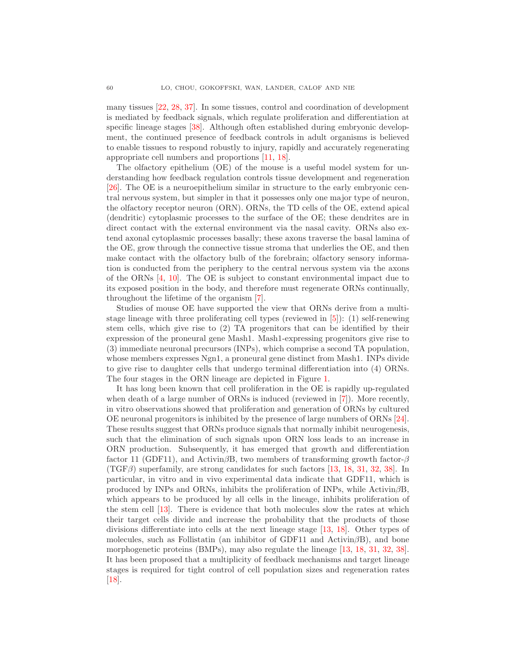many tissues [\[22,](#page-22-0) [28,](#page-22-1) [37\]](#page-23-0). In some tissues, control and coordination of development is mediated by feedback signals, which regulate proliferation and differentiation at specific lineage stages [\[38\]](#page-23-1). Although often established during embryonic development, the continued presence of feedback controls in adult organisms is believed to enable tissues to respond robustly to injury, rapidly and accurately regenerating appropriate cell numbers and proportions [\[11,](#page-22-2) [18\]](#page-22-3).

The olfactory epithelium (OE) of the mouse is a useful model system for understanding how feedback regulation controls tissue development and regeneration [\[26\]](#page-22-4). The OE is a neuroepithelium similar in structure to the early embryonic central nervous system, but simpler in that it possesses only one major type of neuron, the olfactory receptor neuron (ORN). ORNs, the TD cells of the OE, extend apical (dendritic) cytoplasmic processes to the surface of the OE; these dendrites are in direct contact with the external environment via the nasal cavity. ORNs also extend axonal cytoplasmic processes basally; these axons traverse the basal lamina of the OE, grow through the connective tissue stroma that underlies the OE, and then make contact with the olfactory bulb of the forebrain; olfactory sensory information is conducted from the periphery to the central nervous system via the axons of the ORNs [\[4,](#page-21-0) [10\]](#page-22-5). The OE is subject to constant environmental impact due to its exposed position in the body, and therefore must regenerate ORNs continually, throughout the lifetime of the organism [\[7\]](#page-21-1).

Studies of mouse OE have supported the view that ORNs derive from a multistage lineage with three proliferating cell types (reviewed in [\[5\]](#page-21-2)): (1) self-renewing stem cells, which give rise to (2) TA progenitors that can be identified by their expression of the proneural gene Mash1. Mash1-expressing progenitors give rise to (3) immediate neuronal precursors (INPs), which comprise a second TA population, whose members expresses Ngn1, a proneural gene distinct from Mash1. INPs divide to give rise to daughter cells that undergo terminal differentiation into (4) ORNs. The four stages in the ORN lineage are depicted in Figure [1.](#page-2-0)

It has long been known that cell proliferation in the OE is rapidly up-regulated when death of a large number of ORNs is induced (reviewed in [\[7\]](#page-21-1)). More recently, in vitro observations showed that proliferation and generation of ORNs by cultured OE neuronal progenitors is inhibited by the presence of large numbers of ORNs [\[24\]](#page-22-6). These results suggest that ORNs produce signals that normally inhibit neurogenesis, such that the elimination of such signals upon ORN loss leads to an increase in ORN production. Subsequently, it has emerged that growth and differentiation factor 11 (GDF11), and Activin $\beta B$ , two members of transforming growth factor- $\beta$  $(TGF\beta)$  superfamily, are strong candidates for such factors [\[13,](#page-22-7) [18,](#page-22-3) [31,](#page-22-8) [32,](#page-22-9) [38\]](#page-23-1). In particular, in vitro and in vivo experimental data indicate that GDF11, which is produced by INPs and ORNs, inhibits the proliferation of INPs, while  $\text{Activin}\beta\text{B}$ , which appears to be produced by all cells in the lineage, inhibits proliferation of the stem cell [\[13\]](#page-22-7). There is evidence that both molecules slow the rates at which their target cells divide and increase the probability that the products of those divisions differentiate into cells at the next lineage stage [\[13,](#page-22-7) [18\]](#page-22-3). Other types of molecules, such as Follistatin (an inhibitor of GDF11 and Activin $\beta B$ ), and bone morphogenetic proteins (BMPs), may also regulate the lineage [\[13,](#page-22-7) [18,](#page-22-3) [31,](#page-22-8) [32,](#page-22-9) [38\]](#page-23-1). It has been proposed that a multiplicity of feedback mechanisms and target lineage stages is required for tight control of cell population sizes and regeneration rates  $\vert 18 \vert$ .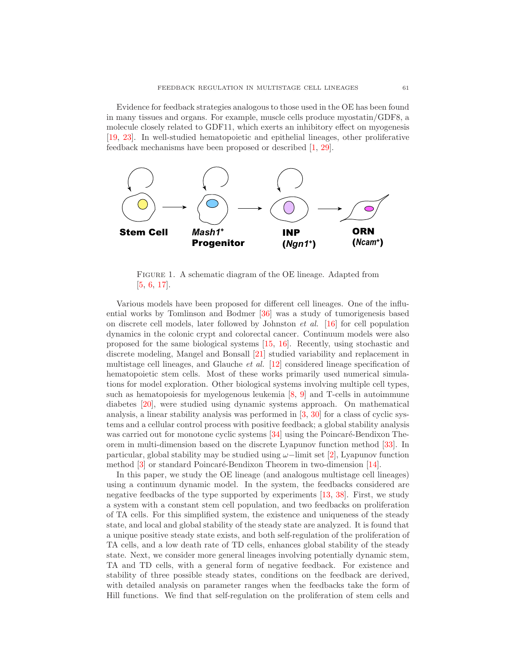Evidence for feedback strategies analogous to those used in the OE has been found in many tissues and organs. For example, muscle cells produce myostatin/GDF8, a molecule closely related to GDF11, which exerts an inhibitory effect on myogenesis [\[19,](#page-22-10) [23\]](#page-22-11). In well-studied hematopoietic and epithelial lineages, other proliferative feedback mechanisms have been proposed or described [\[1,](#page-21-3) [29\]](#page-22-12).



<span id="page-2-0"></span>FIGURE 1. A schematic diagram of the OE lineage. Adapted from [\[5,](#page-21-2) [6,](#page-21-4) [17\]](#page-22-13).

Various models have been proposed for different cell lineages. One of the influential works by Tomlinson and Bodmer [\[36\]](#page-23-2) was a study of tumorigenesis based on discrete cell models, later followed by Johnston et al. [\[16\]](#page-22-14) for cell population dynamics in the colonic crypt and colorectal cancer. Continuum models were also proposed for the same biological systems [\[15,](#page-22-15) [16\]](#page-22-14). Recently, using stochastic and discrete modeling, Mangel and Bonsall [\[21\]](#page-22-16) studied variability and replacement in multistage cell lineages, and Glauche et al. [\[12\]](#page-22-17) considered lineage specification of hematopoietic stem cells. Most of these works primarily used numerical simulations for model exploration. Other biological systems involving multiple cell types, such as hematopoiesis for myelogenous leukemia  $[8, 9]$  $[8, 9]$  and T-cells in autoimmune diabetes [\[20\]](#page-22-20), were studied using dynamic systems approach. On mathematical analysis, a linear stability analysis was performed in [\[3,](#page-21-5) [30\]](#page-22-21) for a class of cyclic systems and a cellular control process with positive feedback; a global stability analysis was carried out for monotone cyclic systems  $[34]$  using the Poincaré-Bendixon Theorem in multi-dimension based on the discrete Lyapunov function method [\[33\]](#page-22-23). In particular, global stability may be studied using  $\omega$ -limit set [\[2\]](#page-21-6), Lyapunov function method  $[3]$  or standard Poincaré-Bendixon Theorem in two-dimension  $[14]$ .

In this paper, we study the OE lineage (and analogous multistage cell lineages) using a continuum dynamic model. In the system, the feedbacks considered are negative feedbacks of the type supported by experiments [\[13,](#page-22-7) [38\]](#page-23-1). First, we study a system with a constant stem cell population, and two feedbacks on proliferation of TA cells. For this simplified system, the existence and uniqueness of the steady state, and local and global stability of the steady state are analyzed. It is found that a unique positive steady state exists, and both self-regulation of the proliferation of TA cells, and a low death rate of TD cells, enhances global stability of the steady state. Next, we consider more general lineages involving potentially dynamic stem, TA and TD cells, with a general form of negative feedback. For existence and stability of three possible steady states, conditions on the feedback are derived, with detailed analysis on parameter ranges when the feedbacks take the form of Hill functions. We find that self-regulation on the proliferation of stem cells and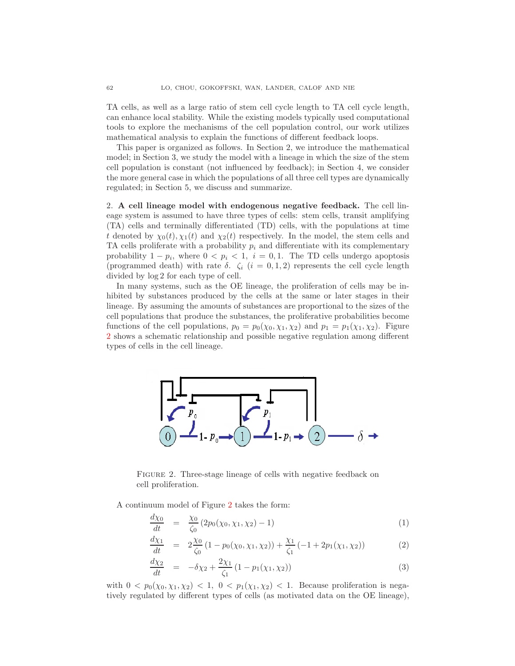TA cells, as well as a large ratio of stem cell cycle length to TA cell cycle length, can enhance local stability. While the existing models typically used computational tools to explore the mechanisms of the cell population control, our work utilizes mathematical analysis to explain the functions of different feedback loops.

This paper is organized as follows. In Section 2, we introduce the mathematical model; in Section 3, we study the model with a lineage in which the size of the stem cell population is constant (not influenced by feedback); in Section 4, we consider the more general case in which the populations of all three cell types are dynamically regulated; in Section 5, we discuss and summarize.

2. A cell lineage model with endogenous negative feedback. The cell lineage system is assumed to have three types of cells: stem cells, transit amplifying (TA) cells and terminally differentiated (TD) cells, with the populations at time t denoted by  $\chi_0(t), \chi_1(t)$  and  $\chi_2(t)$  respectively. In the model, the stem cells and TA cells proliferate with a probability  $p_i$  and differentiate with its complementary probability  $1 - p_i$ , where  $0 < p_i < 1$ ,  $i = 0, 1$ . The TD cells undergo apoptosis (programmed death) with rate  $\delta$ .  $\zeta_i$   $(i = 0, 1, 2)$  represents the cell cycle length divided by log 2 for each type of cell.

In many systems, such as the OE lineage, the proliferation of cells may be inhibited by substances produced by the cells at the same or later stages in their lineage. By assuming the amounts of substances are proportional to the sizes of the cell populations that produce the substances, the proliferative probabilities become functions of the cell populations,  $p_0 = p_0(\chi_0, \chi_1, \chi_2)$  and  $p_1 = p_1(\chi_1, \chi_2)$ . Figure [2](#page-3-0) shows a schematic relationship and possible negative regulation among different types of cells in the cell lineage.



<span id="page-3-0"></span>FIGURE 2. Three-stage lineage of cells with negative feedback on cell proliferation.

<span id="page-3-1"></span>A continuum model of Figure [2](#page-3-0) takes the form:

$$
\frac{d\chi_0}{dt} = \frac{\chi_0}{\zeta_0} (2p_0(\chi_0, \chi_1, \chi_2) - 1) \tag{1}
$$

$$
\frac{d\chi_1}{dt} = 2\frac{\chi_0}{\zeta_0} (1 - p_0(\chi_0, \chi_1, \chi_2)) + \frac{\chi_1}{\zeta_1} (-1 + 2p_1(\chi_1, \chi_2)) \tag{2}
$$

$$
\frac{d\chi_2}{dt} = -\delta\chi_2 + \frac{2\chi_1}{\zeta_1} (1 - p_1(\chi_1, \chi_2))
$$
\n(3)

with  $0 < p_0(\chi_0, \chi_1, \chi_2) < 1$ ,  $0 < p_1(\chi_1, \chi_2) < 1$ . Because proliferation is negatively regulated by different types of cells (as motivated data on the OE lineage),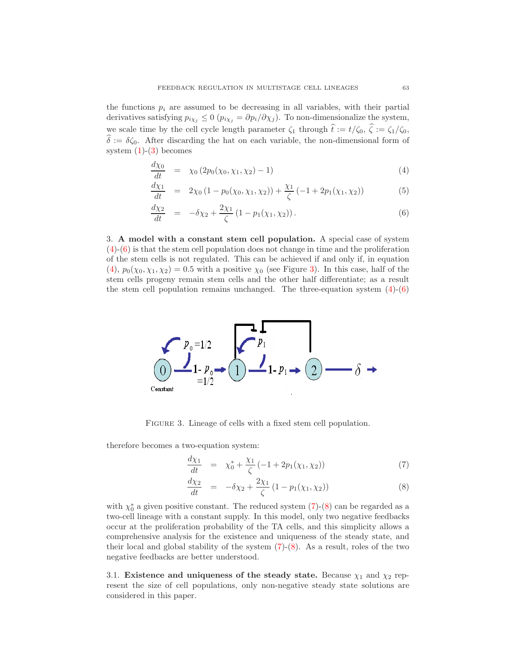the functions  $p_i$  are assumed to be decreasing in all variables, with their partial derivatives satisfying  $p_{i\chi_j} \leq 0$  ( $p_{i\chi_j} = \partial p_i/\partial \chi_j$ ). To non-dimensionalize the system, we scale time by the cell cycle length parameter  $\zeta_1$  through  $\hat{t} := t/\zeta_0$ ,  $\hat{\zeta} := \zeta_1/\zeta_0$ ,  $\hat{\delta} := \delta \zeta_0$ . After discarding the hat on each variable, the non-dimensional form of system  $(1)-(3)$  $(1)-(3)$  becomes

<span id="page-4-0"></span>
$$
\frac{d\chi_0}{dt} = \chi_0 (2p_0(\chi_0, \chi_1, \chi_2) - 1) \tag{4}
$$

$$
\frac{d\chi_1}{dt} = 2\chi_0 \left(1 - p_0(\chi_0, \chi_1, \chi_2)\right) + \frac{\chi_1}{\zeta} \left(-1 + 2p_1(\chi_1, \chi_2)\right) \tag{5}
$$

$$
\frac{d\chi_2}{dt} = -\delta\chi_2 + \frac{2\chi_1}{\zeta} (1 - p_1(\chi_1, \chi_2)).
$$
\n(6)

3. A model with a constant stem cell population. A special case of system [\(4\)](#page-4-0)-[\(6\)](#page-4-0) is that the stem cell population does not change in time and the proliferation of the stem cells is not regulated. This can be achieved if and only if, in equation [\(4\)](#page-4-0),  $p_0(\chi_0, \chi_1, \chi_2) = 0.5$  with a positive  $\chi_0$  (see Figure [3\)](#page-4-1). In this case, half of the stem cells progeny remain stem cells and the other half differentiate; as a result the stem cell population remains unchanged. The three-equation system  $(4)-(6)$  $(4)-(6)$ 



<span id="page-4-1"></span>FIGURE 3. Lineage of cells with a fixed stem cell population.

<span id="page-4-2"></span>therefore becomes a two-equation system:

$$
\frac{d\chi_1}{dt} = \chi_0^* + \frac{\chi_1}{\zeta} \left( -1 + 2p_1(\chi_1, \chi_2) \right) \tag{7}
$$

$$
\frac{d\chi_2}{dt} = -\delta\chi_2 + \frac{2\chi_1}{\zeta} (1 - p_1(\chi_1, \chi_2))
$$
\n(8)

with  $\chi_0^*$  a given positive constant. The reduced system  $(7)-(8)$  $(7)-(8)$  can be regarded as a two-cell lineage with a constant supply. In this model, only two negative feedbacks occur at the proliferation probability of the TA cells, and this simplicity allows a comprehensive analysis for the existence and uniqueness of the steady state, and their local and global stability of the system  $(7)-(8)$  $(7)-(8)$ . As a result, roles of the two negative feedbacks are better understood.

3.1. Existence and uniqueness of the steady state. Because  $\chi_1$  and  $\chi_2$  represent the size of cell populations, only non-negative steady state solutions are considered in this paper.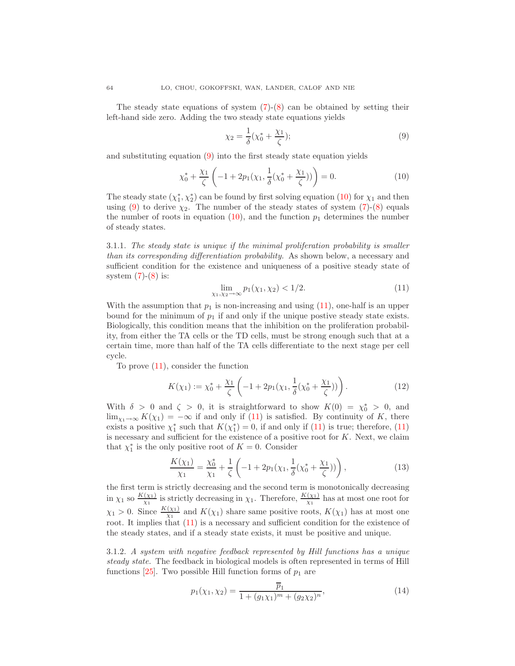The steady state equations of system  $(7)-(8)$  $(7)-(8)$  can be obtained by setting their left-hand side zero. Adding the two steady state equations yields

$$
\chi_2 = \frac{1}{\delta} (\chi_0^* + \frac{\chi_1}{\zeta});\tag{9}
$$

<span id="page-5-1"></span>and substituting equation [\(9\)](#page-5-0) into the first steady state equation yields

<span id="page-5-0"></span>
$$
\chi_0^* + \frac{\chi_1}{\zeta} \left( -1 + 2p_1(\chi_1, \frac{1}{\delta}(\chi_0^* + \frac{\chi_1}{\zeta})) \right) = 0.
$$
 (10)

The steady state  $(\chi_1^*, \chi_2^*)$  can be found by first solving equation [\(10\)](#page-5-1) for  $\chi_1$  and then using [\(9\)](#page-5-0) to derive  $\chi_2$ . The number of the steady states of system [\(7\)](#page-4-2)-[\(8\)](#page-4-2) equals the number of roots in equation [\(10\)](#page-5-1), and the function  $p_1$  determines the number of steady states.

3.1.1. The steady state is unique if the minimal proliferation probability is smaller than its corresponding differentiation probability. As shown below, a necessary and sufficient condition for the existence and uniqueness of a positive steady state of system  $(7)-(8)$  $(7)-(8)$  is:

$$
\lim_{\chi_1, \chi_2 \to \infty} p_1(\chi_1, \chi_2) < 1/2. \tag{11}
$$

<span id="page-5-2"></span>With the assumption that  $p_1$  is non-increasing and using  $(11)$ , one-half is an upper bound for the minimum of  $p_1$  if and only if the unique postive steady state exists. Biologically, this condition means that the inhibition on the proliferation probability, from either the TA cells or the TD cells, must be strong enough such that at a certain time, more than half of the TA cells differentiate to the next stage per cell cycle.

To prove [\(11\)](#page-5-2), consider the function

$$
K(\chi_1) := \chi_0^* + \frac{\chi_1}{\zeta} \left( -1 + 2p_1(\chi_1, \frac{1}{\delta}(\chi_0^* + \frac{\chi_1}{\zeta})) \right). \tag{12}
$$

With  $\delta > 0$  and  $\zeta > 0$ , it is straightforward to show  $K(0) = \chi_0^* > 0$ , and  $\lim_{\chi_1\to\infty} K(\chi_1) = -\infty$  if and only if [\(11\)](#page-5-2) is satisfied. By continuity of K, there exists a positive  $\chi_1^*$  such that  $K(\chi_1^*)=0$ , if and only if [\(11\)](#page-5-2) is true; therefore, (11) is necessary and sufficient for the existence of a positive root for  $K$ . Next, we claim that  $\chi_1^*$  is the only positive root of  $K = 0$ . Consider

$$
\frac{K(\chi_1)}{\chi_1} = \frac{\chi_0^*}{\chi_1} + \frac{1}{\zeta} \left( -1 + 2p_1(\chi_1, \frac{1}{\delta}(\chi_0^* + \frac{\chi_1}{\zeta})) \right),\tag{13}
$$

the first term is strictly decreasing and the second term is monotonically decreasing in  $\chi_1$  so  $\frac{K(\chi_1)}{\chi_1}$  $\frac{(\chi_1)}{\chi_1}$  is strictly decreasing in  $\chi_1$ . Therefore,  $\frac{K(\chi_1)}{\chi_1}$  has at most one root for  $\chi_1 > 0$ . Since  $\frac{K(\chi_1)}{\chi_1}$  and  $K(\chi_1)$  share same positive roots,  $K(\chi_1)$  has at most one root. It implies that [\(11\)](#page-5-2) is a necessary and sufficient condition for the existence of the steady states, and if a steady state exists, it must be positive and unique.

<span id="page-5-3"></span>3.1.2. A system with negative feedback represented by Hill functions has a unique steady state. The feedback in biological models is often represented in terms of Hill functions [\[25\]](#page-22-25). Two possible Hill function forms of  $p_1$  are

$$
p_1(\chi_1, \chi_2) = \frac{\overline{p}_1}{1 + (g_1 \chi_1)^m + (g_2 \chi_2)^n},
$$
\n(14)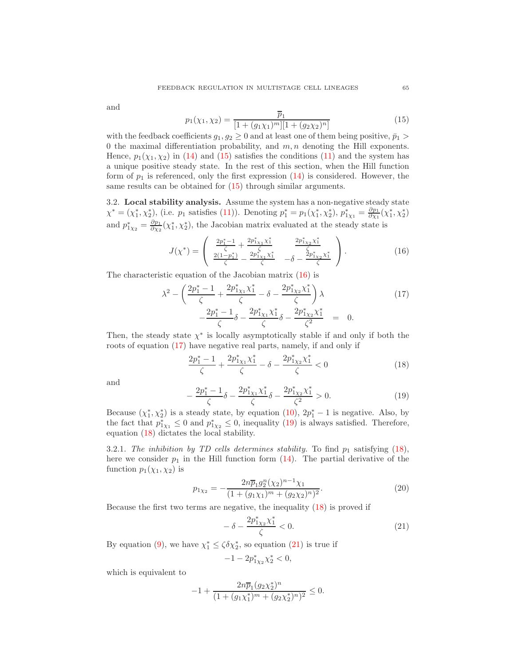<span id="page-6-0"></span>and

$$
p_1(\chi_1, \chi_2) = \frac{\overline{p}_1}{[1 + (g_1 \chi_1)^m][1 + (g_2 \chi_2)^n]}
$$
(15)

with the feedback coefficients  $g_1, g_2 \geq 0$  and at least one of them being positive,  $\bar{p}_1 >$ 0 the maximal differentiation probability, and  $m, n$  denoting the Hill exponents. Hence,  $p_1(\chi_1, \chi_2)$  in [\(14\)](#page-5-3) and [\(15\)](#page-6-0) satisfies the conditions [\(11\)](#page-5-2) and the system has a unique positive steady state. In the rest of this section, when the Hill function form of  $p_1$  is referenced, only the first expression  $(14)$  is considered. However, the same results can be obtained for  $(15)$  through similar arguments.

<span id="page-6-6"></span>3.2. Local stability analysis. Assume the system has a non-negative steady state  $\chi^* = (\chi_1^*, \chi_2^*),$  (i.e.  $p_1$  satisfies [\(11\)](#page-5-2)). Denoting  $p_1^* = p_1(\chi_1^*, \chi_2^*),$   $p_{1\chi_1}^* = \frac{\partial p_1}{\partial \chi_1}(\chi_1^*, \chi_2^*)$ and  $p_{1\chi_2}^* = \frac{\partial p_1}{\partial \chi_2}(\chi_1^*, \chi_2^*)$ , the Jacobian matrix evaluated at the steady state is

$$
J(\chi^*) = \begin{pmatrix} \frac{2p_1^* - 1}{\zeta} + \frac{2p_{1X1}^* \chi_1^*}{\zeta} & \frac{2p_{1X2}^* \chi_1^*}{\zeta} \\ \frac{2(1 - p_1^*)}{\zeta} - \frac{2p_{1X1}^* \chi_1^*}{\zeta} & -\delta - \frac{2p_{1X2}^* \chi_1^*}{\zeta} \end{pmatrix}.
$$
 (16)

<span id="page-6-2"></span><span id="page-6-1"></span>The characteristic equation of the Jacobian matrix [\(16\)](#page-6-1) is

$$
\lambda^{2} - \left(\frac{2p_{1}^{*} - 1}{\zeta} + \frac{2p_{1X1}^{*}\chi_{1}^{*}}{\zeta} - \delta - \frac{2p_{1X2}^{*}\chi_{1}^{*}}{\zeta}\right)\lambda - \frac{2p_{1}^{*} - 1}{\zeta}\delta - \frac{2p_{1X1}^{*}\chi_{1}^{*}}{\zeta}\delta - \frac{2p_{1X2}^{*}\chi_{1}^{*}}{\zeta^{2}} = 0.
$$
\n(17)

Then, the steady state  $\chi^*$  is locally asymptotically stable if and only if both the roots of equation [\(17\)](#page-6-2) have negative real parts, namely, if and only if

$$
\frac{2p_1^* - 1}{\zeta} + \frac{2p_{1X_1}^* \chi_1^*}{\zeta} - \delta - \frac{2p_{1X_2}^* \chi_1^*}{\zeta} < 0 \tag{18}
$$

<span id="page-6-4"></span><span id="page-6-3"></span>and

$$
-\frac{2p_1^*-1}{\zeta}\delta - \frac{2p_{1\chi_1}^*\chi_1^*}{\zeta}\delta - \frac{2p_{1\chi_2}^*\chi_1^*}{\zeta^2} > 0.
$$
 (19)

Because  $(\chi_1^*, \chi_2^*)$  is a steady state, by equation  $(10)$ ,  $2p_1^* - 1$  is negative. Also, by the fact that  $p_{1\chi_1}^* \leq 0$  and  $p_{1\chi_2}^* \leq 0$ , inequality [\(19\)](#page-6-3) is always satisfied. Therefore, equation [\(18\)](#page-6-4) dictates the local stability.

3.2.1. The inhibition by TD cells determines stability. To find  $p_1$  satisfying [\(18\)](#page-6-4), here we consider  $p_1$  in the Hill function form [\(14\)](#page-5-3). The partial derivative of the function  $p_1(\chi_1, \chi_2)$  is

<span id="page-6-5"></span>
$$
p_{1\chi_2} = -\frac{2n\overline{p}_1 g_2^n(\chi_2)^{n-1}\chi_1}{(1 + (g_1\chi_1)^m + (g_2\chi_2)^n)^2}.
$$
\n(20)

Because the first two terms are negative, the inequality [\(18\)](#page-6-4) is proved if

$$
-\delta - \frac{2p_{1\chi_2}^* \chi_1^*}{\zeta} < 0. \tag{21}
$$

By equation [\(9\)](#page-5-0), we have  $\chi_1^* \leq \zeta \delta \chi_2^*$ , so equation [\(21\)](#page-6-5) is true if

$$
-1 - 2p_{1\chi_2}^* \chi_2^* < 0,
$$

which is equivalent to

$$
-1 + \frac{2n\overline{p}_1(g_2\chi_2^*)^n}{(1 + (g_1\chi_1^*)^m + (g_2\chi_2^*)^n)^2} \le 0.
$$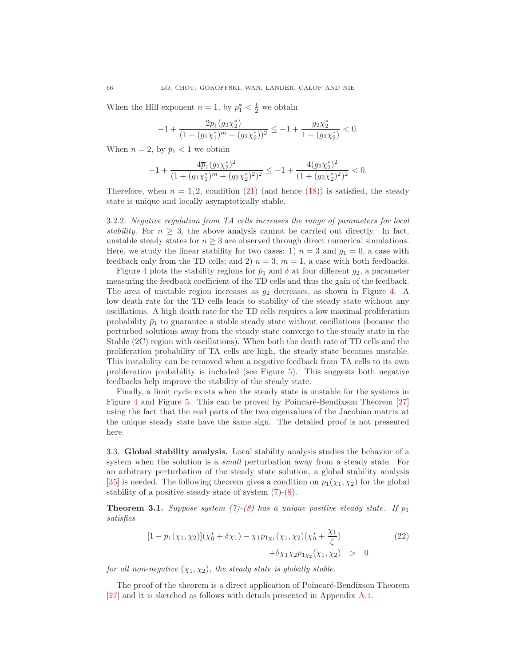When the Hill exponent  $n = 1$ , by  $p_1^* < \frac{1}{2}$  we obtain

$$
-1 + \frac{2\overline{p}_1(g_2\chi_2^*)}{(1 + (g_1\chi_1^*)^m + (g_2\chi_2^*))^2} \le -1 + \frac{g_2\chi_2^*}{1 + (g_2\chi_2^*)} < 0.
$$

When  $n = 2$ , by  $\bar{p}_1 < 1$  we obtain

$$
-1 + \frac{4 \overline{p}_1 (g_2 \chi_2^*)^2}{(1+ (g_1 \chi_1^*)^m + (g_2 \chi_2^*)^2)^2} \leq -1 + \frac{4 (g_2 \chi_2^*)^2}{(1+ (g_2 \chi_2^*)^2)^2} < 0.
$$

Therefore, when  $n = 1, 2$ , condition [\(21\)](#page-6-5) (and hence [\(18\)](#page-6-4)) is satisfied, the steady state is unique and locally asymptotically stable.

3.2.2. Negative regulation from TA cells increases the range of parameters for local stability. For  $n \geq 3$ , the above analysis cannot be carried out directly. In fact, unstable steady states for  $n \geq 3$  are observed through direct numerical simulations. Here, we study the linear stability for two cases: 1)  $n = 3$  and  $g_1 = 0$ , a case with feedback only from the TD cells; and 2)  $n = 3$ ,  $m = 1$ , a case with both feedbacks.

Figure [4](#page-8-0) plots the stability regions for  $\bar{p}_1$  and  $\delta$  at four different  $g_2$ , a parameter measuring the feedback coefficient of the TD cells and thus the gain of the feedback. The area of unstable region increases as  $g_2$  decreases, as shown in Figure [4.](#page-8-0) A low death rate for the TD cells leads to stability of the steady state without any oscillations. A high death rate for the TD cells requires a low maximal proliferation probability  $\bar{p}_1$  to guarantee a stable steady state without oscillations (because the perturbed solutions away from the steady state converge to the steady state in the Stable (2C) region with oscillations). When both the death rate of TD cells and the proliferation probability of TA cells are high, the steady state becomes unstable. This instability can be removed when a negative feedback from TA cells to its own proliferation probability is included (see Figure [5\)](#page-8-1). This suggests both negative feedbacks help improve the stability of the steady state.

Finally, a limit cycle exists when the steady state is unstable for the systems in Figure [4](#page-8-0) and Figure [5.](#page-8-1) This can be proved by Poincaré-Bendixson Theorem [\[27\]](#page-22-26) using the fact that the real parts of the two eigenvalues of the Jacobian matrix at the unique steady state have the same sign. The detailed proof is not presented here.

<span id="page-7-2"></span>3.3. Global stability analysis. Local stability analysis studies the behavior of a system when the solution is a small perturbation away from a steady state. For an arbitrary perturbation of the steady state solution, a global stability analysis [\[35\]](#page-22-27) is needed. The following theorem gives a condition on  $p_1(\chi_1, \chi_2)$  for the global stability of a positive steady state of system [\(7\)](#page-4-2)-[\(8\)](#page-4-2).

<span id="page-7-1"></span><span id="page-7-0"></span>**Theorem 3.1.** Suppose system [\(7\)](#page-4-2)-[\(8\)](#page-4-2) has a unique positive steady state. If  $p_1$ satisfies

$$
[1 - p_1(\chi_1, \chi_2)](\chi_0^* + \delta \chi_1) - \chi_1 p_{1\chi_1}(\chi_1, \chi_2)(\chi_0^* + \frac{\chi_1}{\zeta}) + \delta \chi_1 \chi_2 p_{1\chi_2}(\chi_1, \chi_2) > 0
$$
\n(22)

for all non-negative  $(\chi_1, \chi_2)$ , the steady state is globally stable.

The proof of the theorem is a direct application of Poincaré-Bendixson Theorem [\[27\]](#page-22-26) and it is sketched as follows with details presented in Appendix [A.1.](#page-16-0)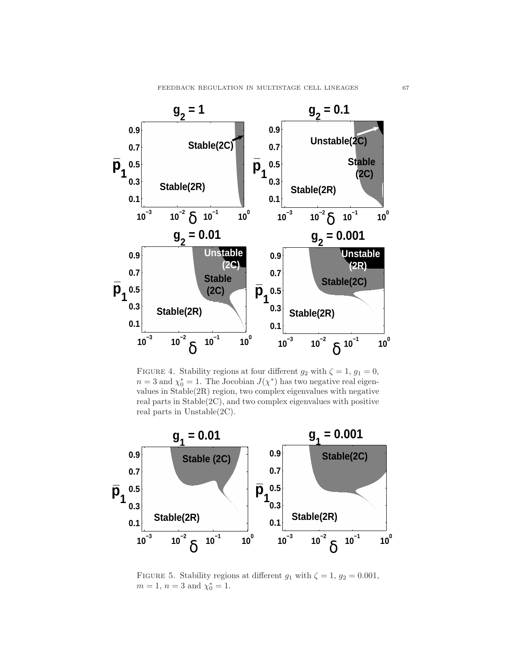

<span id="page-8-0"></span>FIGURE 4. Stability regions at four different  $g_2$  with  $\zeta = 1, g_1 = 0$ ,  $n=3$  and  $\chi_0^*=1$ . The Jocobian  $J(\chi^*)$  has two negative real eigenvalues in Stable(2R) region, two complex eigenvalues with negative real parts in Stable(2C), and two complex eigenvalues with positive real parts in Unstable(2C).



<span id="page-8-1"></span>FIGURE 5. Stability regions at different  $g_1$  with  $\zeta = 1$ ,  $g_2 = 0.001$ ,  $m = 1, n = 3 \text{ and } \chi_0^* = 1.$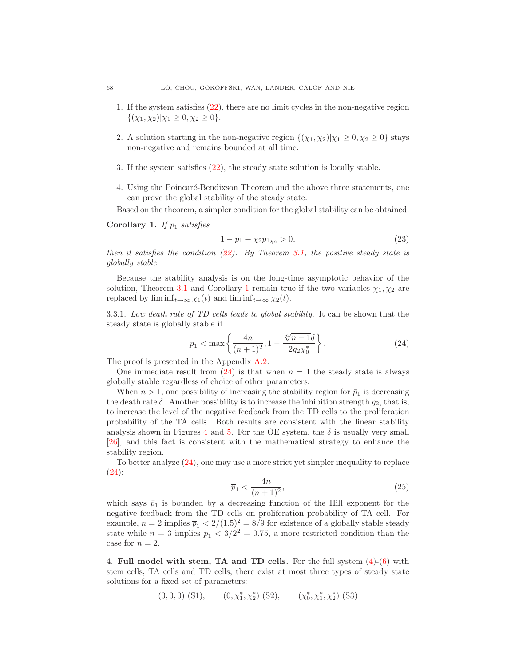- 1. If the system satisfies [\(22\)](#page-7-0), there are no limit cycles in the non-negative region  $\{(\chi_1, \chi_2)|\chi_1 \geq 0, \chi_2 \geq 0\}.$
- 2. A solution starting in the non-negative region  $\{(\chi_1, \chi_2)|\chi_1 \geq 0, \chi_2 \geq 0\}$  stays non-negative and remains bounded at all time.
- 3. If the system satisfies [\(22\)](#page-7-0), the steady state solution is locally stable.
- 4. Using the Poincaré-Bendixson Theorem and the above three statements, one can prove the global stability of the steady state.

<span id="page-9-2"></span>Based on the theorem, a simpler condition for the global stability can be obtained:

<span id="page-9-0"></span>Corollary 1. If  $p_1$  satisfies

$$
1 - p_1 + \chi_2 p_{1\chi_2} > 0,\t\t(23)
$$

then it satisfies the condition  $(22)$ . By Theorem [3.1,](#page-7-1) the positive steady state is globally stable.

Because the stability analysis is on the long-time asymptotic behavior of the solution, Theorem [3.1](#page-7-1) and Corollary [1](#page-9-0) remain true if the two variables  $\chi_1, \chi_2$  are replaced by  $\liminf_{t\to\infty} \chi_1(t)$  and  $\liminf_{t\to\infty} \chi_2(t)$ .

3.3.1. Low death rate of TD cells leads to global stability. It can be shown that the steady state is globally stable if

$$
\overline{p}_1 < \max\left\{ \frac{4n}{(n+1)^2}, 1 - \frac{\sqrt[n]{n-1}\delta}{2g_2\chi_0^*} \right\}.
$$
\n(24)

<span id="page-9-1"></span>The proof is presented in the Appendix [A.2.](#page-18-0)

One immediate result from  $(24)$  is that when  $n = 1$  the steady state is always globally stable regardless of choice of other parameters.

When  $n > 1$ , one possibility of increasing the stability region for  $\bar{p}_1$  is decreasing the death rate  $\delta$ . Another possibility is to increase the inhibition strength  $g_2$ , that is, to increase the level of the negative feedback from the TD cells to the proliferation probability of the TA cells. Both results are consistent with the linear stability analysis shown in Figures [4](#page-8-0) and [5.](#page-8-1) For the OE system, the  $\delta$  is usually very small [\[26\]](#page-22-4), and this fact is consistent with the mathematical strategy to enhance the stability region.

To better analyze [\(24\)](#page-9-1), one may use a more strict yet simpler inequality to replace [\(24\)](#page-9-1):

<span id="page-9-3"></span>
$$
\overline{p}_1 < \frac{4n}{(n+1)^2},\tag{25}
$$

which says  $\bar{p}_1$  is bounded by a decreasing function of the Hill exponent for the negative feedback from the TD cells on proliferation probability of TA cell. For example,  $n = 2$  implies  $\overline{p}_1 < 2/(1.5)^2 = 8/9$  for existence of a globally stable steady state while  $n = 3$  implies  $\overline{p}_1 < 3/2^2 = 0.75$ , a more restricted condition than the case for  $n = 2$ .

4. Full model with stem, TA and TD cells. For the full system [\(4\)](#page-4-0)-[\(6\)](#page-4-0) with stem cells, TA cells and TD cells, there exist at most three types of steady state solutions for a fixed set of parameters:

$$
(0,0,0)
$$
 (S1),  $(0, \chi_1^*, \chi_2^*)$  (S2),  $(\chi_0^*, \chi_1^*, \chi_2^*)$  (S3)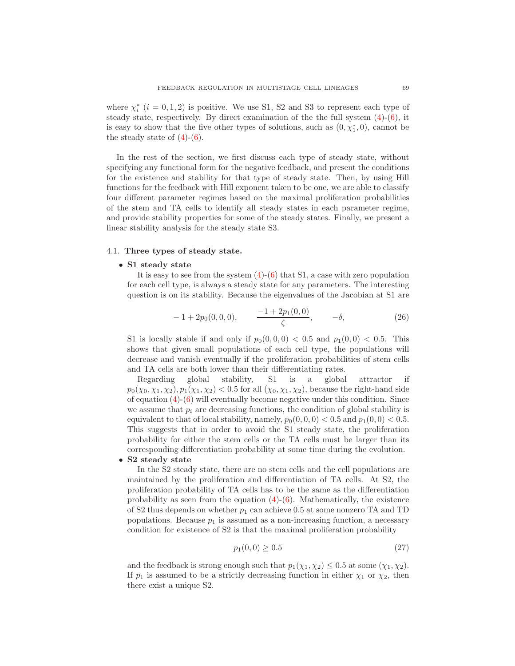where  $\chi_i^*$   $(i = 0, 1, 2)$  is positive. We use S1, S2 and S3 to represent each type of steady state, respectively. By direct examination of the the full system  $(4)-(6)$  $(4)-(6)$ , it is easy to show that the five other types of solutions, such as  $(0, \chi_1^*, 0)$ , cannot be the steady state of  $(4)-(6)$  $(4)-(6)$ .

In the rest of the section, we first discuss each type of steady state, without specifying any functional form for the negative feedback, and present the conditions for the existence and stability for that type of steady state. Then, by using Hill functions for the feedback with Hill exponent taken to be one, we are able to classify four different parameter regimes based on the maximal proliferation probabilities of the stem and TA cells to identify all steady states in each parameter regime, and provide stability properties for some of the steady states. Finally, we present a linear stability analysis for the steady state S3.

### 4.1. Three types of steady state.

### • S1 steady state

It is easy to see from the system  $(4)-(6)$  $(4)-(6)$  that S1, a case with zero population for each cell type, is always a steady state for any parameters. The interesting question is on its stability. Because the eigenvalues of the Jacobian at S1 are

$$
-1 + 2p_0(0,0,0), \qquad \frac{-1 + 2p_1(0,0)}{\zeta}, \qquad -\delta, \tag{26}
$$

<span id="page-10-1"></span>S1 is locally stable if and only if  $p_0(0, 0, 0) < 0.5$  and  $p_1(0, 0) < 0.5$ . This shows that given small populations of each cell type, the populations will decrease and vanish eventually if the proliferation probabilities of stem cells and TA cells are both lower than their differentiating rates.

Regarding global stability, S1 is a global attractor if  $p_0(\chi_0, \chi_1, \chi_2), p_1(\chi_1, \chi_2) < 0.5$  for all  $(\chi_0, \chi_1, \chi_2)$ , because the right-hand side of equation  $(4)-(6)$  $(4)-(6)$  will eventually become negative under this condition. Since we assume that  $p_i$  are decreasing functions, the condition of global stability is equivalent to that of local stability, namely,  $p_0(0, 0, 0) < 0.5$  and  $p_1(0, 0) < 0.5$ . This suggests that in order to avoid the S1 steady state, the proliferation probability for either the stem cells or the TA cells must be larger than its corresponding differentiation probability at some time during the evolution.

### • S2 steady state

In the S2 steady state, there are no stem cells and the cell populations are maintained by the proliferation and differentiation of TA cells. At S2, the proliferation probability of TA cells has to be the same as the differentiation probability as seen from the equation  $(4)-(6)$  $(4)-(6)$ . Mathematically, the existence of S2 thus depends on whether  $p_1$  can achieve 0.5 at some nonzero TA and TD populations. Because  $p_1$  is assumed as a non-increasing function, a necessary condition for existence of S2 is that the maximal proliferation probability

$$
p_1(0,0) \ge 0.5 \tag{27}
$$

<span id="page-10-0"></span>and the feedback is strong enough such that  $p_1(\chi_1, \chi_2) \leq 0.5$  at some  $(\chi_1, \chi_2)$ . If  $p_1$  is assumed to be a strictly decreasing function in either  $\chi_1$  or  $\chi_2$ , then there exist a unique S2.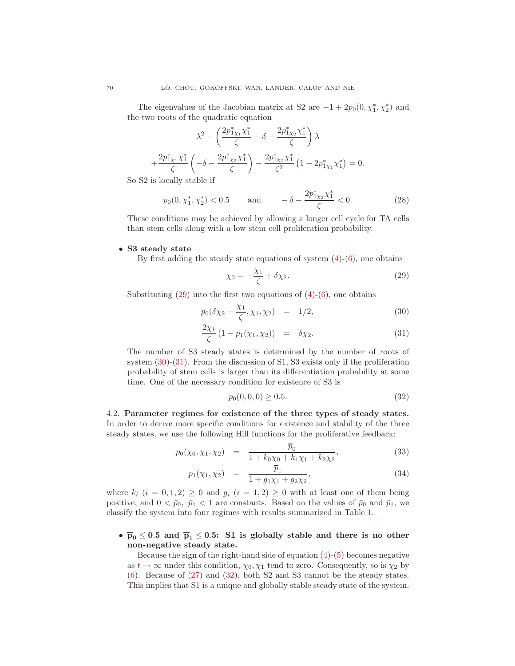The eigenvalues of the Jacobian matrix at S2 are  $-1 + 2p_0(0, \chi_1^*, \chi_2^*)$  and the two roots of the quadratic equation

$$
\lambda^{2} - \left(\frac{2p_{1X1}^{*}\chi_{1}^{*}}{\zeta} - \delta - \frac{2p_{1X2}^{*}\chi_{1}^{*}}{\zeta}\right)\lambda + \frac{2p_{1X1}^{*}\chi_{1}^{*}}{\zeta} \left(-\delta - \frac{2p_{1X2}^{*}\chi_{1}^{*}}{\zeta}\right) - \frac{2p_{1X2}^{*}\chi_{1}^{*}}{\zeta^{2}}\left(1 - 2p_{1X1}^{*}\chi_{1}^{*}\right) = 0.
$$

<span id="page-11-4"></span>So S2 is locally stable if

$$
p_0(0, \chi_1^*, \chi_2^*) < 0.5
$$
 and  $-\delta - \frac{2p_{1\chi_2}^* \chi_1^*}{\zeta} < 0.$  (28)

These conditions may be achieved by allowing a longer cell cycle for TA cells than stem cells along with a low stem cell proliferation probability.

### • S3 steady state

<span id="page-11-0"></span>By first adding the steady state equations of system  $(4)-(6)$  $(4)-(6)$ , one obtains

$$
\chi_0 = -\frac{\chi_1}{\zeta} + \delta \chi_2. \tag{29}
$$

<span id="page-11-1"></span>Substituting  $(29)$  into the first two equations of  $(4)-(6)$  $(4)-(6)$ , one obtains

$$
p_0(\delta \chi_2 - \frac{\chi_1}{\zeta}, \chi_1, \chi_2) = 1/2, \tag{30}
$$

$$
\frac{2\chi_1}{\zeta} (1 - p_1(\chi_1, \chi_2)) = \delta \chi_2.
$$
 (31)

The number of S3 steady states is determined by the number of roots of system  $(30)-(31)$  $(30)-(31)$ . From the discussion of S1, S3 exists only if the proliferation probability of stem cells is larger than its differentiation probability at some time. One of the necessary condition for existence of S3 is

$$
p_0(0,0,0) \ge 0.5. \tag{32}
$$

<span id="page-11-3"></span>4.2. Parameter regimes for existence of the three types of steady states. In order to derive more specific conditions for existence and stability of the three steady states, we use the following Hill functions for the proliferative feedback:

<span id="page-11-2"></span>
$$
p_0(\chi_0, \chi_1, \chi_2) = \frac{\overline{p}_0}{1 + k_0 \chi_0 + k_1 \chi_1 + k_2 \chi_2},
$$
\n(33)

$$
p_1(\chi_1, \chi_2) = \frac{\overline{p}_1}{1 + g_1 \chi_1 + g_2 \chi_2}, \tag{34}
$$

where  $k_i$   $(i = 0, 1, 2) \geq 0$  and  $g_i$   $(i = 1, 2) \geq 0$  with at least one of them being positive, and  $0 < \bar{p}_0$ ,  $\bar{p}_1 < 1$  are constants. Based on the values of  $\bar{p}_0$  and  $\bar{p}_1$ , we classify the system into four regimes with results summarized in Table [1.](#page-13-0)

## •  $\overline{p}_0 \leq 0.5$  and  $\overline{p}_1 \leq 0.5$ : S1 is globally stable and there is no other non-negative steady state.

Because the sign of the right-hand side of equation  $(4)-(5)$  $(4)-(5)$  becomes negative as  $t \to \infty$  under this condition,  $\chi_0, \chi_1$  tend to zero. Consequently, so is  $\chi_2$  by  $(6)$ . Because of  $(27)$  and  $(32)$ , both S2 and S3 cannot be the steady states. This implies that S1 is a unique and globally stable steady state of the system.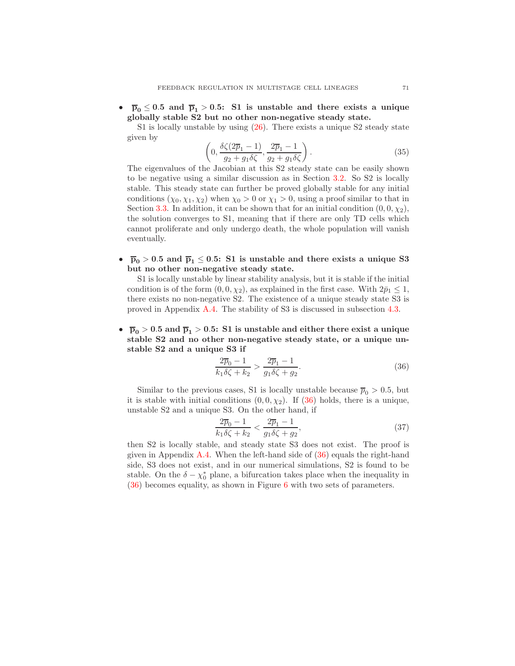$\overline{p}_0 \leq 0.5$  and  $\overline{p}_1 > 0.5$ : S1 is unstable and there exists a unique globally stable S2 but no other non-negative steady state.

S1 is locally unstable by using [\(26\)](#page-10-1). There exists a unique S2 steady state given by

$$
\left(0, \frac{\delta\zeta(2\overline{p}_1-1)}{g_2+g_1\delta\zeta}, \frac{2\overline{p}_1-1}{g_2+g_1\delta\zeta}\right). \tag{35}
$$

The eigenvalues of the Jacobian at this S2 steady state can be easily shown to be negative using a similar discussion as in Section [3.2.](#page-6-6) So S2 is locally stable. This steady state can further be proved globally stable for any initial conditions  $(\chi_0, \chi_1, \chi_2)$  when  $\chi_0 > 0$  or  $\chi_1 > 0$ , using a proof similar to that in Section [3.3.](#page-7-2) In addition, it can be shown that for an initial condition  $(0, 0, \chi_2)$ , the solution converges to S1, meaning that if there are only TD cells which cannot proliferate and only undergo death, the whole population will vanish eventually.

•  $\overline{p}_0 > 0.5$  and  $\overline{p}_1 \leq 0.5$ : S1 is unstable and there exists a unique S3 but no other non-negative steady state.

S1 is locally unstable by linear stability analysis, but it is stable if the initial condition is of the form  $(0, 0, \chi_2)$ , as explained in the first case. With  $2\bar{p}_1 \leq 1$ , there exists no non-negative S2. The existence of a unique steady state S3 is proved in Appendix [A.4.](#page-20-0) The stability of S3 is discussed in subsection [4.3.](#page-14-0)

•  $\overline{p}_0 > 0.5$  and  $\overline{p}_1 > 0.5$ : S1 is unstable and either there exist a unique stable S2 and no other non-negative steady state, or a unique unstable S2 and a unique S3 if

$$
\frac{2\overline{p}_0 - 1}{k_1 \delta \zeta + k_2} > \frac{2\overline{p}_1 - 1}{g_1 \delta \zeta + g_2}.
$$
 (36)

<span id="page-12-0"></span>Similar to the previous cases, S1 is locally unstable because  $\overline{p}_0 > 0.5$ , but it is stable with initial conditions  $(0, 0, \chi_2)$ . If  $(36)$  holds, there is a unique, unstable S2 and a unique S3. On the other hand, if

$$
\frac{2\overline{p}_0 - 1}{k_1 \delta \zeta + k_2} < \frac{2\overline{p}_1 - 1}{g_1 \delta \zeta + g_2},\tag{37}
$$

then S2 is locally stable, and steady state S3 does not exist. The proof is given in Appendix [A.4.](#page-20-0) When the left-hand side of  $(36)$  equals the right-hand side, S3 does not exist, and in our numerical simulations, S2 is found to be stable. On the  $\delta - \chi_0^*$  plane, a bifurcation takes place when the inequality in [\(36\)](#page-12-0) becomes equality, as shown in Figure [6](#page-13-1) with two sets of parameters.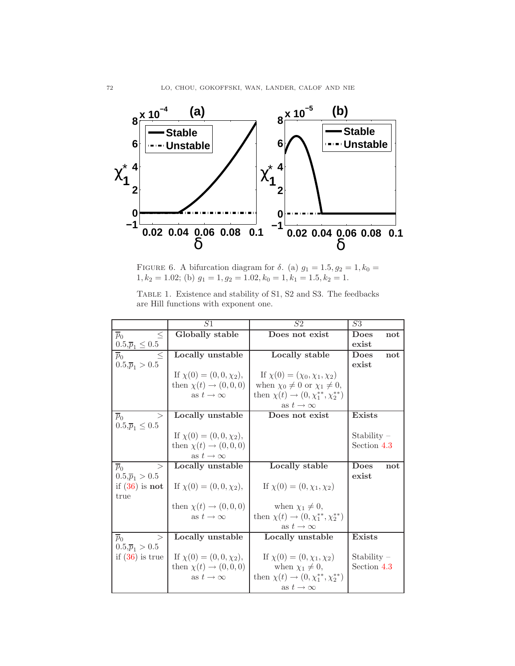

<span id="page-13-1"></span>FIGURE 6. A bifurcation diagram for  $\delta$ . (a)  $g_1 = 1.5, g_2 = 1, k_0 =$  $1, k_2 = 1.02$ ; (b)  $g_1 = 1, g_2 = 1.02, k_0 = 1, k_1 = 1.5, k_2 = 1.$ 

|  | TABLE 1. Existence and stability of S1, S2 and S3. The feedbacks |  |  |
|--|------------------------------------------------------------------|--|--|
|  | are Hill functions with exponent one.                            |  |  |

<span id="page-13-0"></span>

|                              | S <sub>1</sub>                     | S <sub>2</sub>                                   | S3                 |
|------------------------------|------------------------------------|--------------------------------------------------|--------------------|
| $\overline{p}_0$<br>$\leq$   | Globally stable                    | Does not exist                                   | <b>Does</b><br>not |
| $0.5,\overline{p}_1\leq 0.5$ |                                    |                                                  | exist              |
| $\overline{p}_0$<br>$\leq$   | Locally unstable                   | Locally stable                                   | <b>Does</b><br>not |
| $0.5,\overline{p}_1>0.5$     |                                    |                                                  | exist              |
|                              | If $\chi(0) = (0, 0, \chi_2)$ ,    | If $\chi(0) = (\chi_0, \chi_1, \chi_2)$          |                    |
|                              | then $\chi(t) \rightarrow (0,0,0)$ | when $\chi_0 \neq 0$ or $\chi_1 \neq 0$ ,        |                    |
|                              | as $t \to \infty$                  | then $\chi(t) \to (0, \chi_1^{**}, \chi_2^{**})$ |                    |
|                              |                                    | as $t\to\infty$                                  |                    |
| ><br>$\overline{p}_0$        | Locally unstable                   | Does not exist                                   | Exists             |
| $0.5,\bar{p}_1 \leq 0.5$     |                                    |                                                  |                    |
|                              | If $\chi(0) = (0, 0, \chi_2)$ ,    |                                                  | Stability $-$      |
|                              | then $\chi(t) \rightarrow (0,0,0)$ |                                                  | Section 4.3        |
|                              | as $t \to \infty$                  |                                                  |                    |
| $\overline{p}_0$<br>$\geq$   | Locally unstable                   | Locally stable                                   | <b>Does</b><br>not |
| $0.5,\overline{p}_1 > 0.5$   |                                    |                                                  | exist              |
| if $(36)$ is not             | If $\chi(0) = (0, 0, \chi_2),$     | If $\chi(0) = (0, \chi_1, \chi_2)$               |                    |
| true                         |                                    |                                                  |                    |
|                              | then $\chi(t) \to (0,0,0)$         | when $\chi_1 \neq 0$ ,                           |                    |
|                              | as $t \to \infty$                  | then $\chi(t) \to (0, \chi_1^{**}, \chi_2^{**})$ |                    |
|                              |                                    | as $t\to\infty$                                  |                    |
| $\overline{p}_0$<br>>        | Locally unstable                   | Locally unstable                                 | <b>Exists</b>      |
| $0.5,\overline{p}_1 > 0.5$   |                                    |                                                  |                    |
| if $(36)$ is true            | If $\chi(0) = (0, 0, \chi_2)$ ,    | If $\chi(0) = (0, \chi_1, \chi_2)$               | Stability $-$      |
|                              | then $\chi(t) \to (0,0,0)$         | when $\chi_1 \neq 0$ ,                           | Section 4.3        |
|                              | as $t\to\infty$                    | then $\chi(t) \to (0, \chi_1^{**}, \chi_2^{**})$ |                    |
|                              |                                    | as $t \to \infty$                                |                    |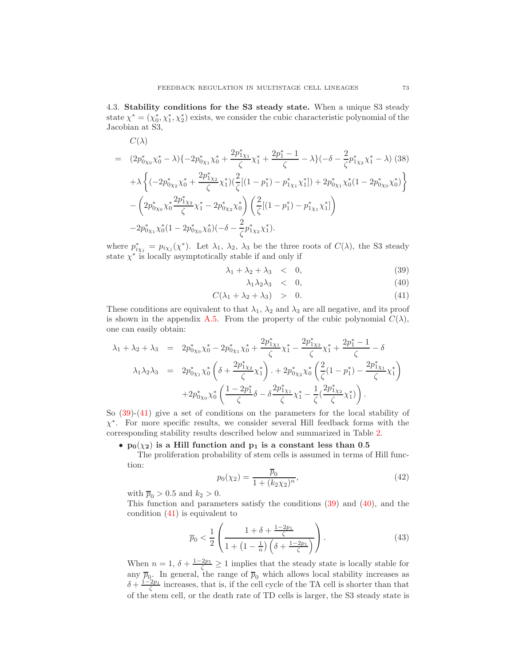<span id="page-14-0"></span>4.3. Stability conditions for the S3 steady state. When a unique S3 steady state  $\chi^* = (\chi_0^*, \chi_1^*, \chi_2^*)$  exists, we consider the cubic characteristic polynomial of the Jacobian at S3,

$$
C(\lambda)
$$
\n
$$
= (2p_{0\chi_{0}}^{*} \chi_{0}^{*} - \lambda)\{-2p_{0\chi_{1}}^{*} \chi_{0}^{*} + \frac{2p_{1\chi_{1}}^{*}}{\zeta} \chi_{1}^{*} + \frac{2p_{1}^{*} - 1}{\zeta} - \lambda\}(-\delta - \frac{2}{\zeta}p_{1\chi_{2}}^{*} \chi_{1}^{*} - \lambda) (38)
$$
\n
$$
+ \lambda \left\{ (-2p_{0\chi_{2}}^{*} \chi_{0}^{*} + \frac{2p_{1\chi_{2}}^{*}}{\zeta} \chi_{1}^{*})(\frac{2}{\zeta}[(1 - p_{1}^{*}) - p_{1\chi_{1}}^{*} \chi_{1}^{*}]) + 2p_{0\chi_{1}}^{*} \chi_{0}^{*}(1 - 2p_{0\chi_{0}}^{*} \chi_{0}^{*}) \right\}
$$
\n
$$
- \left( 2p_{0\chi_{0}}^{*} \chi_{0}^{*} \frac{2p_{1\chi_{2}}^{*}}{\zeta} \chi_{1}^{*} - 2p_{0\chi_{2}}^{*} \chi_{0}^{*} \right) \left( \frac{2}{\zeta}[(1 - p_{1}^{*}) - p_{1\chi_{1}}^{*} \chi_{1}^{*}]\right)
$$
\n
$$
-2p_{0\chi_{1}}^{*} \chi_{0}^{*}(1 - 2p_{0\chi_{0}}^{*} \chi_{0}^{*})(-\delta - \frac{2}{\zeta}p_{1\chi_{2}}^{*} \chi_{1}^{*}).
$$

where  $p^*_{i\chi_j} = p_{i\chi_j}(\chi^*)$ . Let  $\lambda_1$ ,  $\lambda_2$ ,  $\lambda_3$  be the three roots of  $C(\lambda)$ , the S3 steady state  $\chi^*$  is locally asymptotically stable if and only if

$$
\lambda_1 + \lambda_2 + \lambda_3 \quad < \quad 0,\tag{39}
$$

$$
\lambda_1 \lambda_2 \lambda_3 \quad < \quad 0,\tag{40}
$$

<span id="page-14-1"></span>
$$
C(\lambda_1 + \lambda_2 + \lambda_3) > 0. \tag{41}
$$

These conditions are equivalent to that  $\lambda_1$ ,  $\lambda_2$  and  $\lambda_3$  are all negative, and its proof is shown in the appendix [A.5.](#page-21-7) From the property of the cubic polynomial  $C(\lambda)$ , one can easily obtain:

$$
\lambda_1 + \lambda_2 + \lambda_3 = 2p_{0\chi_0}^* \chi_0^* - 2p_{0\chi_1}^* \chi_0^* + \frac{2p_{1\chi_1}^*}{\zeta} \chi_1^* - \frac{2p_{1\chi_2}^*}{\zeta} \chi_1^* + \frac{2p_1^* - 1}{\zeta} - \delta
$$
  
\n
$$
\lambda_1 \lambda_2 \lambda_3 = 2p_{0\chi_1}^* \chi_0^* \left( \delta + \frac{2p_{1\chi_2}^*}{\zeta} \chi_1^* \right) + 2p_{0\chi_2}^* \chi_0^* \left( \frac{2}{\zeta} (1 - p_1^*) - \frac{2p_{1\chi_1}^*}{\zeta} \chi_1^* \right)
$$
  
\n
$$
+ 2p_{0\chi_0}^* \chi_0^* \left( \frac{1 - 2p_1^*}{\zeta} \delta - \delta \frac{2p_{1\chi_1}^*}{\zeta} \chi_1^* - \frac{1}{\zeta} \left( \frac{2p_{1\chi_2}^*}{\zeta} \chi_1^* \right) \right).
$$

So [\(39\)](#page-14-1)-[\(41\)](#page-14-1) give a set of conditions on the parameters for the local stability of  $\chi^*$ . For more specific results, we consider several Hill feedback forms with the corresponding stability results described below and summarized in Table [2.](#page-16-1)

### •  $p_0(\chi_2)$  is a Hill function and  $p_1$  is a constant less than 0.5

The proliferation probability of stem cells is assumed in terms of Hill function:

$$
p_0(\chi_2) = \frac{\overline{p}_0}{1 + (k_2 \chi_2)^n},
$$
\n(42)

with  $\overline{p}_0 > 0.5$  and  $k_2 > 0$ .

This function and parameters satisfy the conditions [\(39\)](#page-14-1) and [\(40\)](#page-14-1), and the condition  $(41)$  is equivalent to

$$
\overline{p}_0 < \frac{1}{2} \left( \frac{1 + \delta + \frac{1 - 2p_1}{\zeta}}{1 + \left(1 - \frac{1}{n}\right) \left(\delta + \frac{1 - 2p_1}{\zeta}\right)} \right). \tag{43}
$$

<span id="page-14-2"></span>When  $n = 1, \delta + \frac{1-2p_1}{\zeta} \ge 1$  implies that the steady state is locally stable for any  $\bar{p}_0$ . In general, the range of  $\bar{p}_0$  which allows local stability increases as  $\delta + \frac{1-2p_1}{\zeta}$  increases, that is, if the cell cycle of the TA cell is shorter than that of the stem cell, or the death rate of TD cells is larger, the S3 steady state is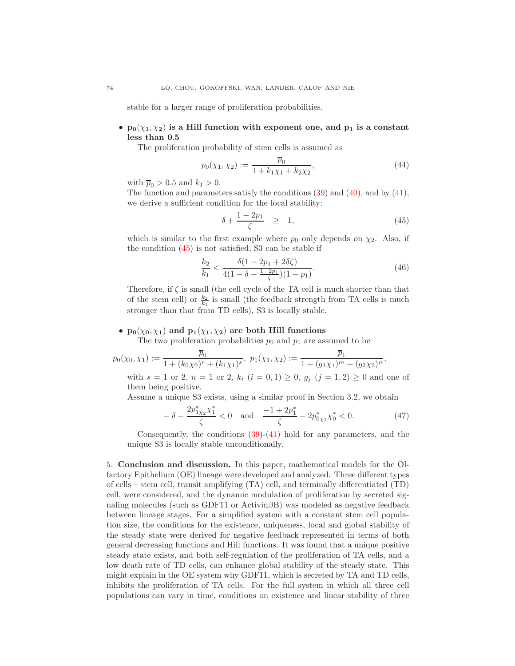stable for a larger range of proliferation probabilities.

## •  $p_0(\chi_1, \chi_2)$  is a Hill function with exponent one, and  $p_1$  is a constant less than 0.5

The proliferation probability of stem cells is assumed as

$$
p_0(\chi_1, \chi_2) := \frac{\overline{p}_0}{1 + k_1 \chi_1 + k_2 \chi_2},\tag{44}
$$

with  $\overline{p}_0 > 0.5$  and  $k_1 > 0$ .

The function and parameters satisfy the conditions  $(39)$  and  $(40)$ , and by  $(41)$ , we derive a sufficient condition for the local stability:

$$
\delta + \frac{1 - 2p_1}{\zeta} \geq 1, \tag{45}
$$

<span id="page-15-0"></span>which is similar to the first example where  $p_0$  only depends on  $\chi_2$ . Also, if the condition [\(45\)](#page-15-0) is not satisfied, S3 can be stable if

$$
\frac{k_2}{k_1} < \frac{\delta(1 - 2p_1 + 2\delta\zeta)}{4(1 - \delta - \frac{1 - 2p_1}{\zeta})(1 - p_1)}.\tag{46}
$$

,

<span id="page-15-1"></span>Therefore, if  $\zeta$  is small (the cell cycle of the TA cell is much shorter than that of the stem cell) or  $\frac{k_2}{k_1}$  is small (the feedback strength from TA cells is much stronger than that from TD cells), S3 is locally stable.

#### •  $p_0(\chi_0, \chi_1)$  and  $p_1(\chi_1, \chi_2)$  are both Hill functions

The two proliferation probabilities  $p_0$  and  $p_1$  are assumed to be

$$
p_0(\chi_0, \chi_1) := \frac{\overline{p}_0}{1 + (k_0 \chi_0)^r + (k_1 \chi_1)^s}, \ p_1(\chi_1, \chi_2) := \frac{\overline{p}_1}{1 + (g_1 \chi_1)^m + (g_2 \chi_2)^n}
$$

with  $s = 1$  or 2,  $n = 1$  or 2,  $k_i$   $(i = 0, 1) \ge 0$ ,  $g_j$   $(j = 1, 2) \ge 0$  and one of them being positive.

Assume a unique S3 exists, using a similar proof in Section 3.2, we obtain

$$
-\delta - \frac{2p_{1X2}^* \chi_1^*}{\zeta} < 0 \quad \text{and} \quad \frac{-1 + 2p_1^*}{\zeta} - 2p_{0X1}^* \chi_0^* < 0. \tag{47}
$$

Consequently, the conditions  $(39)-(41)$  $(39)-(41)$  hold for any parameters, and the unique S3 is locally stable unconditionally.

5. Conclusion and discussion. In this paper, mathematical models for the Olfactory Epithelium (OE) lineage were developed and analyzed. Three different types of cells – stem cell, transit amplifying (TA) cell, and terminally differentiated (TD) cell, were considered, and the dynamic modulation of proliferation by secreted signaling molecules (such as GDF11 or Activin $\beta$ B) was modeled as negative feedback between lineage stages. For a simplified system with a constant stem cell population size, the conditions for the existence, uniqueness, local and global stability of the steady state were derived for negative feedback represented in terms of both general decreasing functions and Hill functions. It was found that a unique positive steady state exists, and both self-regulation of the proliferation of TA cells, and a low death rate of TD cells, can enhance global stability of the steady state. This might explain in the OE system why GDF11, which is secreted by TA and TD cells, inhibits the proliferation of TA cells. For the full system in which all three cell populations can vary in time, conditions on existence and linear stability of three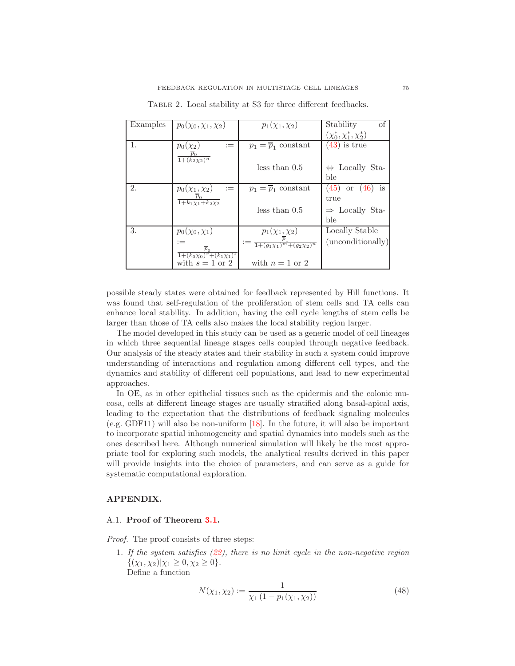<span id="page-16-1"></span>

| Examples | $p_0(\chi_0, \chi_1, \chi_2)$                                   | $p_1(\chi_1, \chi_2)$                                                                | of<br>Stability                  |
|----------|-----------------------------------------------------------------|--------------------------------------------------------------------------------------|----------------------------------|
|          |                                                                 |                                                                                      | $(\chi_0^*, \chi_1^*, \chi_2^*)$ |
| 1.       | $p_0(\chi_2)$<br>$:=$                                           | $p_1 = \overline{p}_1$ constant                                                      | $(43)$ is true                   |
|          | $\overline{p}_0$<br>$1 + (k_2 \chi_2)^n$                        |                                                                                      |                                  |
|          |                                                                 | less than 0.5                                                                        | $\Leftrightarrow$ Locally Sta-   |
|          |                                                                 |                                                                                      | ble                              |
| 2.       | $p_0(\chi_1, \chi_2)$<br>$:=$                                   | $p_1 = \overline{p}_1$ constant                                                      | $(45)$ or $(46)$ is              |
|          | $p_0$<br>$\overline{1+k_1\chi_1+k_2\chi_2}$                     |                                                                                      | true                             |
|          |                                                                 | less than 0.5                                                                        | $\Rightarrow$ Locally Sta-       |
|          |                                                                 |                                                                                      | ble                              |
| 3.       | $p_0(\chi_0, \chi_1)$                                           | $p_1(\chi_1, \chi_2)$                                                                | Locally Stable                   |
|          | $:=$<br>$\overline{p}_0$                                        | $:= \frac{1 + (g_1 \chi_1)^m + (g_2 \chi_2)^n}{1 + (g_1 \chi_1)^m + (g_2 \chi_2)^n}$ | (unconditionally)                |
|          | $1+(k_0\chi_0)^r+(k_1\overline{\chi_1})^s$<br>with $s = 1$ or 2 | with $n=1$ or 2                                                                      |                                  |
|          |                                                                 |                                                                                      |                                  |

TABLE 2. Local stability at S3 for three different feedbacks.

possible steady states were obtained for feedback represented by Hill functions. It was found that self-regulation of the proliferation of stem cells and TA cells can enhance local stability. In addition, having the cell cycle lengths of stem cells be larger than those of TA cells also makes the local stability region larger.

The model developed in this study can be used as a generic model of cell lineages in which three sequential lineage stages cells coupled through negative feedback. Our analysis of the steady states and their stability in such a system could improve understanding of interactions and regulation among different cell types, and the dynamics and stability of different cell populations, and lead to new experimental approaches.

In OE, as in other epithelial tissues such as the epidermis and the colonic mucosa, cells at different lineage stages are usually stratified along basal-apical axis, leading to the expectation that the distributions of feedback signaling molecules (e.g. GDF11) will also be non-uniform [\[18\]](#page-22-3). In the future, it will also be important to incorporate spatial inhomogeneity and spatial dynamics into models such as the ones described here. Although numerical simulation will likely be the most appropriate tool for exploring such models, the analytical results derived in this paper will provide insights into the choice of parameters, and can serve as a guide for systematic computational exploration.

### APPENDIX.

## <span id="page-16-0"></span>A.1. Proof of Theorem [3.1.](#page-7-1)

Proof. The proof consists of three steps:

1. If the system satisfies [\(22\)](#page-7-0), there is no limit cycle in the non-negative region  $\{(\chi_1, \chi_2)|\chi_1 \geq 0, \chi_2 \geq 0\}.$ Define a function

$$
N(\chi_1, \chi_2) := \frac{1}{\chi_1 \left(1 - p_1(\chi_1, \chi_2)\right)}\tag{48}
$$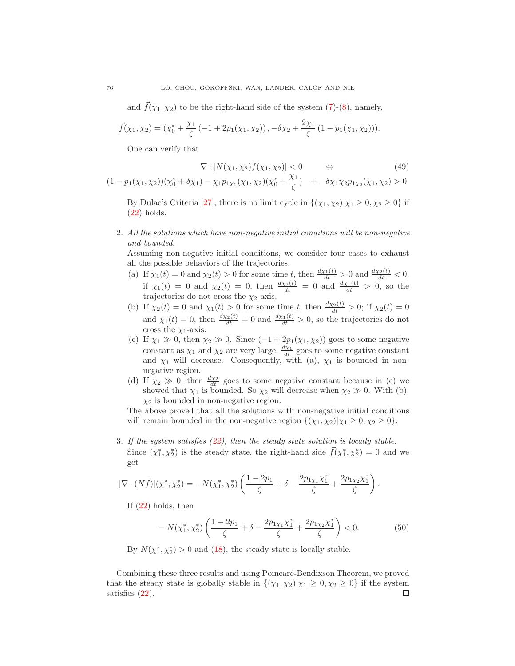and  $\bar{f}(\chi_1, \chi_2)$  to be the right-hand side of the system [\(7\)](#page-4-2)-[\(8\)](#page-4-2), namely,

$$
\vec{f}(\chi_1, \chi_2) = (\chi_0^* + \frac{\chi_1}{\zeta}(-1 + 2p_1(\chi_1, \chi_2)), -\delta\chi_2 + \frac{2\chi_1}{\zeta}(1 - p_1(\chi_1, \chi_2))).
$$

One can verify that

$$
\nabla \cdot [N(\chi_1, \chi_2) \vec{f}(\chi_1, \chi_2)] < 0 \qquad \Leftrightarrow \qquad (49)
$$

$$
(1-p_1(\chi_1,\chi_2))(\chi_0^*+\delta\chi_1)-\chi_1p_{1\chi_1}(\chi_1,\chi_2)(\chi_0^*+\frac{\chi_1}{\zeta}) + \delta\chi_1\chi_2p_{1\chi_2}(\chi_1,\chi_2)>0.
$$

By Dulac's Criteria [\[27\]](#page-22-26), there is no limit cycle in  $\{(\chi_1, \chi_2)|\chi_1 \geq 0, \chi_2 \geq 0\}$  if [\(22\)](#page-7-0) holds.

2. All the solutions which have non-negative initial conditions will be non-negative and bounded.

Assuming non-negative initial conditions, we consider four cases to exhaust all the possible behaviors of the trajectories.

- (a) If  $\chi_1(t) = 0$  and  $\chi_2(t) > 0$  for some time t, then  $\frac{d\chi_1(t)}{dt} > 0$  and  $\frac{d\chi_2(t)}{dt} < 0$ ; if  $\chi_1(t) = 0$  and  $\chi_2(t) = 0$ , then  $\frac{d\chi_2(t)}{dt} = 0$  and  $\frac{d\chi_1(t)}{dt} > 0$ , so the trajectories do not cross the  $\chi_2$ -axis.
- (b) If  $\chi_2(t) = 0$  and  $\chi_1(t) > 0$  for some time t, then  $\frac{d\chi_2(t)}{dt} > 0$ ; if  $\chi_2(t) = 0$ and  $\chi_1(t) = 0$ , then  $\frac{d\chi_2(t)}{dt} = 0$  and  $\frac{d\chi_1(t)}{dt} > 0$ , so the trajectories do not cross the  $\chi_1$ -axis.
- (c) If  $\chi_1 \gg 0$ , then  $\chi_2 \gg 0$ . Since  $(-1 + 2p_1(\chi_1, \chi_2))$  goes to some negative constant as  $\chi_1$  and  $\chi_2$  are very large,  $\frac{d\chi_1}{dt}$  goes to some negative constant and  $\chi_1$  will decrease. Consequently, with (a),  $\chi_1$  is bounded in nonnegative region.
- (d) If  $\chi_2 \gg 0$ , then  $\frac{d\chi_2}{dt}$  goes to some negative constant because in (c) we showed that  $\chi_1$  is bounded. So  $\chi_2$  will decrease when  $\chi_2 \gg 0$ . With (b),  $\chi_2$  is bounded in non-negative region.

The above proved that all the solutions with non-negative initial conditions will remain bounded in the non-negative region  $\{(\chi_1, \chi_2)|\chi_1 \geq 0, \chi_2 \geq 0\}.$ 

3. If the system satisfies [\(22\)](#page-7-0), then the steady state solution is locally stable. Since  $(\chi_1^*, \chi_2^*)$  is the steady state, the right-hand side  $\vec{f}(\chi_1^*, \chi_2^*) = 0$  and we get

$$
[\nabla \cdot (N\vec{f})](\chi_1^*, \chi_2^*) = -N(\chi_1^*, \chi_2^*) \left( \frac{1 - 2p_1}{\zeta} + \delta - \frac{2p_{1\chi_1}\chi_1^*}{\zeta} + \frac{2p_{1\chi_2}\chi_1^*}{\zeta} \right).
$$

If  $(22)$  holds, then

$$
-N(\chi_1^*, \chi_2^*)\left(\frac{1-2p_1}{\zeta} + \delta - \frac{2p_{1\chi_1}\chi_1^*}{\zeta} + \frac{2p_{1\chi_2}\chi_1^*}{\zeta}\right) < 0. \tag{50}
$$

By  $N(\chi_1^*, \chi_2^*) > 0$  and [\(18\)](#page-6-4), the steady state is locally stable.

Combining these three results and using Poincaré-Bendixson Theorem, we proved that the steady state is globally stable in  $\{(\chi_1, \chi_2)|\chi_1 \geq 0, \chi_2 \geq 0\}$  if the system satisfies (22). satisfies [\(22\)](#page-7-0).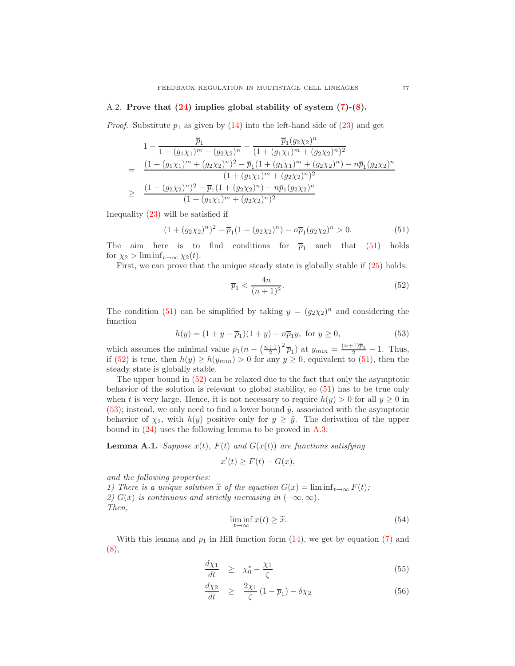## <span id="page-18-0"></span>A.2. Prove that [\(24\)](#page-9-1) implies global stability of system [\(7\)](#page-4-2)-[\(8\)](#page-4-2).

*Proof.* Substitute  $p_1$  as given by [\(14\)](#page-5-3) into the left-hand side of [\(23\)](#page-9-2) and get

$$
1 - \frac{\overline{p}_1}{1 + (g_1 \chi_1)^m + (g_2 \chi_2)^n} - \frac{\overline{p}_1 (g_2 \chi_2)^n}{(1 + (g_1 \chi_1)^m + (g_2 \chi_2)^n)^2}
$$
  
= 
$$
\frac{(1 + (g_1 \chi_1)^m + (g_2 \chi_2)^n)^2 - \overline{p}_1 (1 + (g_1 \chi_1)^m + (g_2 \chi_2)^n) - n \overline{p}_1 (g_2 \chi_2)^n}{(1 + (g_1 \chi_1)^m + (g_2 \chi_2)^n)^2}
$$
  

$$
\geq \frac{(1 + (g_2 \chi_2)^n)^2 - \overline{p}_1 (1 + (g_2 \chi_2)^n) - n \overline{p}_1 (g_2 \chi_2)^n}{(1 + (g_1 \chi_1)^m + (g_2 \chi_2)^n)^2}
$$

<span id="page-18-1"></span>Inequality [\(23\)](#page-9-2) will be satisfied if

$$
(1 + (g_2 \chi_2)^n)^2 - \overline{p}_1 (1 + (g_2 \chi_2)^n) - n \overline{p}_1 (g_2 \chi_2)^n > 0.
$$
 (51)

The aim here is to find conditions for  $\overline{p}_1$  such that [\(51\)](#page-18-1) holds for  $\chi_2 > \liminf_{t \to \infty} \chi_2(t)$ .

First, we can prove that the unique steady state is globally stable if [\(25\)](#page-9-3) holds:

$$
\overline{p}_1 < \frac{4n}{(n+1)^2}.\tag{52}
$$

The condition [\(51\)](#page-18-1) can be simplified by taking  $y = (g_2 \chi_2)^n$  and considering the function

<span id="page-18-2"></span>
$$
h(y) = (1 + y - \overline{p}_1)(1 + y) - n\overline{p}_1 y, \text{ for } y \ge 0,
$$
\n(53)

<span id="page-18-3"></span>which assumes the minimal value  $\bar{p}_1(n - \left(\frac{n+1}{2}\right)^2 \bar{p}_1)$  at  $y_{min} = \frac{(n+1)\bar{p}_1}{2} - 1$ . Thus, if [\(52\)](#page-18-2) is true, then  $h(y) \ge h(y_{min}) > 0$  for any  $y \ge 0$ , equivalent to [\(51\)](#page-18-1), then the steady state is globally stable.

The upper bound in [\(52\)](#page-18-2) can be relaxed due to the fact that only the asymptotic behavior of the solution is relevant to global stability, so [\(51\)](#page-18-1) has to be true only when t is very large. Hence, it is not necessary to require  $h(y) > 0$  for all  $y \ge 0$  in [\(53\)](#page-18-3); instead, we only need to find a lower bound  $\tilde{y}$ , associated with the asymptotic behavior of  $\chi_2$ , with  $h(y)$  positive only for  $y \geq \tilde{y}$ . The derivation of the upper bound in [\(24\)](#page-9-1) uses the following lemma to be proved in [A.3:](#page-19-0)

<span id="page-18-5"></span>**Lemma A.1.** Suppose  $x(t)$ ,  $F(t)$  and  $G(x(t))$  are functions satisfying

$$
x'(t) \ge F(t) - G(x),
$$

and the following properties:

1) There is a unique solution  $\tilde{x}$  of the equation  $G(x) = \liminf_{t\to\infty} F(t)$ ; 2)  $G(x)$  is continuous and strictly increasing in  $(-\infty, \infty)$ . Then,

$$
\liminf_{t \to \infty} x(t) \ge \tilde{x}.\tag{54}
$$

<span id="page-18-4"></span>With this lemma and  $p_1$  in Hill function form  $(14)$ , we get by equation [\(7\)](#page-4-2) and [\(8\)](#page-4-2),

<span id="page-18-6"></span>
$$
\frac{d\chi_1}{dt} \ge \chi_0^* - \frac{\chi_1}{\zeta} \tag{55}
$$

$$
\frac{d\chi_2}{dt} \geq \frac{2\chi_1}{\zeta} (1 - \overline{p}_1) - \delta \chi_2 \tag{56}
$$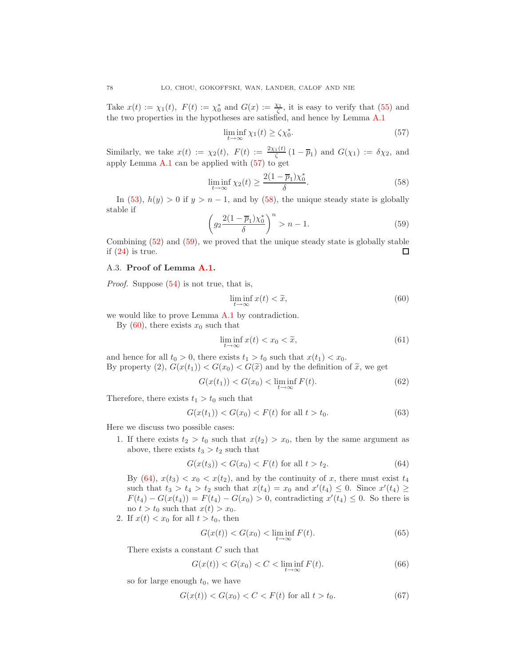Take  $x(t) := \chi_1(t)$ ,  $F(t) := \chi_0^*$  and  $G(x) := \frac{\chi_1}{\zeta}$ , it is easy to verify that [\(55\)](#page-18-4) and the two properties in the hypotheses are satisfied, and hence by Lemma [A.1](#page-18-5)

$$
\liminf_{t \to \infty} \chi_1(t) \ge \zeta \chi_0^*.
$$
\n(57)

<span id="page-19-1"></span>Similarly, we take  $x(t) := \chi_2(t)$ ,  $F(t) := \frac{2\chi_1(t)}{\zeta} (1 - \overline{p}_1)$  and  $G(\chi_1) := \delta \chi_2$ , and apply Lemma [A.1](#page-18-5) can be applied with [\(57\)](#page-19-1) to get

$$
\liminf_{t \to \infty} \chi_2(t) \ge \frac{2(1 - \overline{p}_1)\chi_0^*}{\delta}.
$$
\n(58)

<span id="page-19-2"></span>In [\(53\)](#page-18-3),  $h(y) > 0$  if  $y > n - 1$ , and by [\(58\)](#page-19-2), the unique steady state is globally stable if

$$
\left(g_2 \frac{2(1-\overline{p}_1)\chi_0^*}{\delta}\right)^n > n-1.
$$
\n(59)

<span id="page-19-3"></span>Combining [\(52\)](#page-18-2) and [\(59\)](#page-19-3), we proved that the unique steady state is globally stable if  $(24)$  is true.  $\Box$ 

### <span id="page-19-0"></span>A.3. Proof of Lemma [A.1.](#page-18-5)

*Proof.* Suppose  $(54)$  is not true, that is,

<span id="page-19-4"></span>
$$
\liminf_{t \to \infty} x(t) < \widetilde{x},\tag{60}
$$

we would like to prove Lemma [A.1](#page-18-5) by contradiction.

By  $(60)$ , there exists  $x_0$  such that

$$
\liminf_{t \to \infty} x(t) < x_0 < \widetilde{x},\tag{61}
$$

and hence for all  $t_0 > 0$ , there exists  $t_1 > t_0$  such that  $x(t_1) < x_0$ . By property (2),  $G(x(t_1)) < G(x_0) < G(\tilde{x})$  and by the definition of  $\tilde{x}$ , we get

$$
G(x(t_1)) < G(x_0) < \liminf_{t \to \infty} F(t). \tag{62}
$$

Therefore, there exists  $t_1 > t_0$  such that

$$
G(x(t_1)) < G(x_0) < F(t) \text{ for all } t > t_0. \tag{63}
$$

Here we discuss two possible cases:

1. If there exists  $t_2 > t_0$  such that  $x(t_2) > x_0$ , then by the same argument as above, there exists  $t_3 > t_2$  such that

$$
G(x(t_3)) < G(x_0) < F(t) \text{ for all } t > t_2. \tag{64}
$$

<span id="page-19-5"></span>By [\(64\)](#page-19-5),  $x(t_3) < x_0 < x(t_2)$ , and by the continuity of x, there must exist  $t_4$ such that  $t_3 > t_4 > t_2$  such that  $x(t_4) = x_0$  and  $x'(t_4) \leq 0$ . Since  $x'(t_4) \geq$  $F(t_4) - G(x(t_4)) = F(t_4) - G(x_0) > 0$ , contradicting  $x'(t_4) \leq 0$ . So there is no  $t > t_0$  such that  $x(t) > x_0$ .

2. If  $x(t) < x_0$  for all  $t > t_0$ , then

$$
G(x(t)) < G(x_0) < \liminf_{t \to \infty} F(t). \tag{65}
$$

There exists a constant C such that

$$
G(x(t)) < G(x_0) < C < \liminf_{t \to \infty} F(t). \tag{66}
$$

so for large enough  $t_0$ , we have

$$
G(x(t)) < G(x_0) < C < F(t) \text{ for all } t > t_0. \tag{67}
$$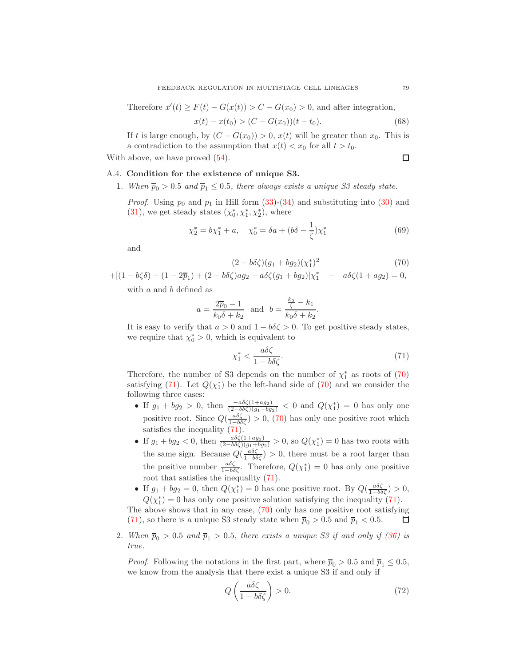Therefore  $x'(t) \ge F(t) - G(x(t)) > C - G(x_0) > 0$ , and after integration,

$$
x(t) - x(t_0) > (C - G(x_0))(t - t_0). \tag{68}
$$

If t is large enough, by  $(C - G(x_0)) > 0$ ,  $x(t)$  will be greater than  $x_0$ . This is a contradiction to the assumption that  $x(t) < x_0$  for all  $t > t_0$ .

<span id="page-20-0"></span>With above, we have proved  $(54)$ .

 $\Box$ 

## A.4. Condition for the existence of unique S3.

1. When  $\overline{p}_0 > 0.5$  and  $\overline{p}_1 \leq 0.5$ , there always exists a unique S3 steady state.

*Proof.* Using  $p_0$  and  $p_1$  in Hill form [\(33\)](#page-11-3)-[\(34\)](#page-11-3) and substituting into [\(30\)](#page-11-1) and [\(31\)](#page-11-1), we get steady states  $(\chi_0^*, \chi_1^*, \chi_2^*)$ , where

<span id="page-20-1"></span>
$$
\chi_2^* = b\chi_1^* + a, \quad \chi_0^* = \delta a + (b\delta - \frac{1}{\zeta})\chi_1^*
$$
\n(69)

and

$$
(2 - b\delta\zeta)(g_1 + bg_2)(\chi_1^*)^2
$$
\n(70)

.

 $+[(1 - b\zeta \delta) + (1 - 2\overline{p}_1) + (2 - b\delta \zeta) a g_2 - a\delta \zeta (g_1 + bg_2)]\chi_1^* - a\delta \zeta (1 + ag_2) = 0,$ with a and b defined as

$$
a = \frac{2\overline{p}_0 - 1}{k_0 \delta + k_2} \text{ and } b = \frac{\frac{k_0}{\zeta} - k_1}{k_0 \delta + k_2}
$$

It is easy to verify that  $a > 0$  and  $1 - b\delta\zeta > 0$ . To get positive steady states, we require that  $\chi_0^* > 0$ , which is equivalent to

$$
\chi_1^* < \frac{a\delta\zeta}{1 - b\delta\zeta}.\tag{71}
$$

<span id="page-20-2"></span>Therefore, the number of S3 depends on the number of  $\chi_1^*$  as roots of [\(70\)](#page-20-1) satisfying [\(71\)](#page-20-2). Let  $Q(\chi_1^*)$  be the left-hand side of [\(70\)](#page-20-1) and we consider the following three cases:

- If  $g_1 + bg_2 > 0$ , then  $\frac{-a\delta\zeta(1+ag_2)}{(2-b\delta\zeta)(g_1+bg_2)} < 0$  and  $Q(\chi_1^*) = 0$  has only one positive root. Since  $Q(\frac{a\delta\zeta}{1-b\delta\zeta}) > 0$ , [\(70\)](#page-20-1) has only one positive root which satisfies the inequality [\(71\)](#page-20-2).
- If  $g_1 + bg_2 < 0$ , then  $\frac{-a\delta\zeta(1+a g_2)}{(2-b\delta\zeta)(g_1+b g_2)} > 0$ , so  $Q(\chi_1^*) = 0$  has two roots with the same sign. Because  $Q(\frac{a\delta\zeta}{1-b\delta\zeta})>0$ , there must be a root larger than the positive number  $\frac{a\delta\zeta}{1-b\delta\zeta}$ . Therefore,  $Q(\chi_1^*)=0$  has only one positive root that satisfies the inequality [\(71\)](#page-20-2).
- If  $g_1 + bg_2 = 0$ , then  $Q(\chi_1^*) = 0$  has one positive root. By  $Q(\frac{a\delta\zeta}{1-b\delta\zeta}) > 0$ ,  $Q(\chi_1^*) = 0$  has only one positive solution satisfying the inequality [\(71\)](#page-20-2).

The above shows that in any case, [\(70\)](#page-20-1) only has one positive root satisfying [\(71\)](#page-20-2), so there is a unique S3 steady state when  $\overline{p}_0 > 0.5$  and  $\overline{p}_1 < 0.5$ . □

2. When  $\overline{p}_0 > 0.5$  and  $\overline{p}_1 > 0.5$ , there exists a unique S3 if and only if [\(36\)](#page-12-0) is true.

<span id="page-20-3"></span>*Proof.* Following the notations in the first part, where  $\overline{p}_0 > 0.5$  and  $\overline{p}_1 \leq 0.5$ , we know from the analysis that there exist a unique S3 if and only if

$$
Q\left(\frac{a\delta\zeta}{1-b\delta\zeta}\right) > 0.\tag{72}
$$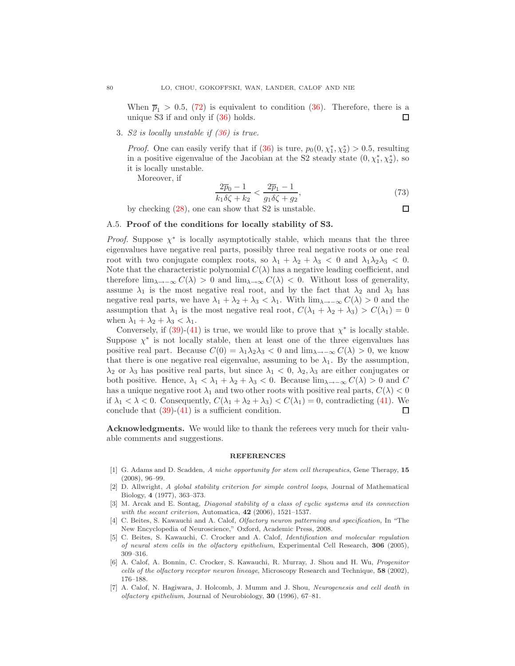When  $\overline{p}_1 > 0.5$ , [\(72\)](#page-20-3) is equivalent to condition [\(36\)](#page-12-0). Therefore, there is a unique S3 if and only if [\(36\)](#page-12-0) holds. □

3. S2 is locally unstable if  $(36)$  is true.

*Proof.* One can easily verify that if  $(36)$  is ture,  $p_0(0, \chi_1^*, \chi_2^*) > 0.5$ , resulting in a positive eigenvalue of the Jacobian at the S2 steady state  $(0, \chi_1^*, \chi_2^*)$ , so it is locally unstable.

Moreover, if

$$
\frac{2\overline{p}_0 - 1}{k_1 \delta \zeta + k_2} < \frac{2\overline{p}_1 - 1}{g_1 \delta \zeta + g_2},\tag{73}
$$

by checking [\(28\)](#page-11-4), one can show that S2 is unstable.

 $\Box$ 

### <span id="page-21-7"></span>A.5. Proof of the conditions for locally stability of S3.

*Proof.* Suppose  $\chi^*$  is locally asymptotically stable, which means that the three eigenvalues have negative real parts, possibly three real negative roots or one real root with two conjugate complex roots, so  $\lambda_1 + \lambda_2 + \lambda_3 < 0$  and  $\lambda_1 \lambda_2 \lambda_3 < 0$ . Note that the characteristic polynomial  $C(\lambda)$  has a negative leading coefficient, and therefore  $\lim_{\lambda \to -\infty} C(\lambda) > 0$  and  $\lim_{\lambda \to \infty} C(\lambda) < 0$ . Without loss of generality, assume  $\lambda_1$  is the most negative real root, and by the fact that  $\lambda_2$  and  $\lambda_3$  has negative real parts, we have  $\lambda_1 + \lambda_2 + \lambda_3 < \lambda_1$ . With  $\lim_{\lambda \to -\infty} C(\lambda) > 0$  and the assumption that  $\lambda_1$  is the most negative real root,  $C(\lambda_1 + \lambda_2 + \lambda_3) > C(\lambda_1) = 0$ when  $\lambda_1 + \lambda_2 + \lambda_3 < \lambda_1$ .

Conversely, if  $(39)-(41)$  $(39)-(41)$  is true, we would like to prove that  $\chi^*$  is locally stable. Suppose  $\chi^*$  is not locally stable, then at least one of the three eigenvalues has positive real part. Because  $C(0) = \lambda_1 \lambda_2 \lambda_3 < 0$  and  $\lim_{\lambda \to \infty} C(\lambda) > 0$ , we know that there is one negative real eigenvalue, assuming to be  $\lambda_1$ . By the assumption,  $\lambda_2$  or  $\lambda_3$  has positive real parts, but since  $\lambda_1 < 0$ ,  $\lambda_2$ ,  $\lambda_3$  are either conjugates or both positive. Hence,  $\lambda_1 < \lambda_1 + \lambda_2 + \lambda_3 < 0$ . Because  $\lim_{\lambda \to \infty} C(\lambda) > 0$  and C has a unique negative root  $\lambda_1$  and two other roots with positive real parts,  $C(\lambda) < 0$ if  $\lambda_1 < \lambda < 0$ . Consequently,  $C(\lambda_1 + \lambda_2 + \lambda_3) < C(\lambda_1) = 0$ , contradicting [\(41\)](#page-14-1). We conclude that  $(39)-(41)$  $(39)-(41)$  is a sufficient condition. □

Acknowledgments. We would like to thank the referees very much for their valuable comments and suggestions.

#### REFERENCES

- <span id="page-21-3"></span>[1] G. Adams and D. Scadden, A niche opportunity for stem cell therapeutics, Gene Therapy, 15 (2008), 96–99.
- <span id="page-21-6"></span>[2] D. Allwright, A global stability criterion for simple control loops, Journal of Mathematical Biology, 4 (1977), 363–373.
- <span id="page-21-5"></span>[3] M. Arcak and E. Sontag, *Diagonal stability of a class of cyclic systems and its connection* with the secant criterion, Automatica,  $42$  (2006), 1521-1537.
- <span id="page-21-0"></span>[4] C. Beites, S. Kawauchi and A. Calof, Olfactory neuron patterning and specification, In "The New Encyclopedia of Neuroscience," Oxford, Academic Press, 2008.
- <span id="page-21-2"></span>[5] C. Beites, S. Kawauchi, C. Crocker and A. Calof, Identification and molecular regulation of neural stem cells in the olfactory epithelium, Experimental Cell Research, 306 (2005), 309–316.
- <span id="page-21-4"></span>[6] A. Calof, A. Bonnin, C. Crocker, S. Kawauchi, R. Murray, J. Shou and H. Wu, Progenitor cells of the olfactory receptor neuron lineage, Microscopy Research and Technique, 58 (2002), 176–188.
- <span id="page-21-1"></span>[7] A. Calof, N. Hagiwara, J. Holcomb, J. Mumm and J. Shou, Neurogenesis and cell death in olfactory epithelium, Journal of Neurobiology, 30 (1996), 67–81.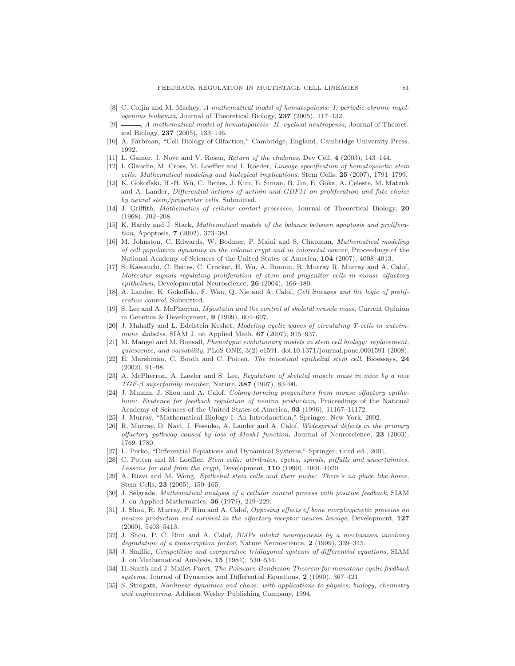- <span id="page-22-18"></span>[8] C. Coljin and M. Machey, A mathematical model of hematopoiesis: I. periodic chronic myelogenous leukemia, Journal of Theoretical Biology, 237 (2005), 117–132.
- <span id="page-22-19"></span>[9]  $\longrightarrow$ , A mathematical model of hematopoiesis: II. cyclical neutropenia, Journal of Theoretical Biology, 237 (2005), 133–146.
- <span id="page-22-5"></span><span id="page-22-2"></span>[10] A. Farbman, "Cell Biology of Olfaction," Cambridge, England, Cambridge University Press, 1992.
- <span id="page-22-17"></span>[11] L. Gamer, J. Nove and V. Rosen, Return of the chalones, Dev Cell, 4 (2003), 143–144.
- [12] I. Glauche, M. Cross, M. Loeffler and I. Roeder, Lineage specification of hematopoietic stem cells: Mathematical modeling and biological implications, Stem Cells, 25 (2007), 1791–1799.
- <span id="page-22-7"></span>[13] K. Gokoffski, H.-H. Wu, C. Beites, J. Kim, E. Siman, B. Jin, E. Goka, A. Celeste, M. Matzuk and A. Lander, Differential actions of activin and GDF11 on proliferation and fate choice by neural stem/progenitor cells, Submitted.
- <span id="page-22-24"></span>[14] J. Griffith, Mathematics of cellular contorl processes, Journal of Theoretical Biology, 20 (1968), 202–208.
- <span id="page-22-15"></span>[15] K. Hardy and J. Stark, Mathematical models of the balance between apoptosis and proliferation, Apoptosis, 7 (2002), 373–381.
- <span id="page-22-14"></span>[16] M. Johnston, C. Edwards, W. Bodmer, P. Maini and S. Chapman, Mathematical modeling of cell population dynamics in the colonic crypt and in colorectal cancer, Proceedings of the National Academy of Sciences of the United States of America, 104 (2007), 4008–4013.
- <span id="page-22-13"></span>[17] S. Kawauchi, C. Beites, C. Crocker, H. Wu, A. Bonnin, R. Murray R. Murray and A. Calof, Molecular signals regulating proliferation of stem and progenitor cells in mouse olfactory epithelium, Developmental Neuroscience, 26 (2004), 166–180.
- <span id="page-22-3"></span>[18] A. Lander, K. Gokoffski, F. Wan, Q. Nie and A. Calof, Cell lineages and the logic of proliferative control, Submitted.
- <span id="page-22-10"></span>[19] S. Lee and A. McPherron, Myostatin and the control of skeletal muscle mass, Current Opinion in Genetics & Development, 9 (1999), 604–607.
- <span id="page-22-20"></span>[20] J. Mahaffy and L. Edelstein-Keshet, Modeling cyclic waves of circulating T-cells in autoimmune diabetes, SIAM J. on Applied Math,  $67$  (2007), 915–937.
- <span id="page-22-16"></span>[21] M. Mangel and M. Bonsall, *Phenotypic evolutionary models in stem cell biology: replacement*, quiescence, and variability, PLoS ONE, 3(2) e1591. doi:10.1371/journal.pone.0001591 (2008).
- <span id="page-22-0"></span>[22] E. Marshman, C. Booth and C. Potten, The intestinal epithelial stem cell, Bioessays, 24 (2002), 91–98.
- <span id="page-22-11"></span>[23] A. McPherron, A. Lawler and S. Lee, Regulation of skeletal muscle mass in mice by a new TGF- $\beta$  superfamily member, Nature, 387 (1997), 83-90.
- <span id="page-22-6"></span>[24] J. Mumm, J. Shou and A. Calof, Colony-forming progenitors from mouse olfactory epithelium: Evidence for feedback regulation of neuron production, Proceedings of the National Academy of Sciences of the United States of America, 93 (1996), 11167–11172.
- <span id="page-22-25"></span><span id="page-22-4"></span>[25] J. Murray, "Mathematical Biology I: An Introdauction," Springer, New York, 2002.
- [26] R. Murray, D. Navi, J. Fesenko, A. Lander and A. Calof, Widespread defects in the primary olfactory pathway caused by loss of Mash1 function, Journal of Neuroscience,  $23$  (2003), 1769–1780.
- <span id="page-22-26"></span><span id="page-22-1"></span>[27] L. Perko, "Differential Equations and Dynamical Systems," Springer, third ed., 2001.
- [28] C. Potten and M. Loeffler, Stem cells: attributes, cycles, spirals, pitfalls and uncertainties. Lessons for and from the crypt, Development, 110 (1990), 1001–1020.
- <span id="page-22-12"></span>[29] A. Rizvi and M. Wong, Epithelial stem cells and their niche: There's no place like home, Stem Cells, 23 (2005), 150–165.
- <span id="page-22-21"></span>[30] J. Selgrade, Mathematical analysis of a cellular control process with positive feedback, SIAM J. on Applied Mathematics, 36 (1979), 219–229.
- <span id="page-22-8"></span>[31] J. Shou, R. Murray, P. Rim and A. Calof, Opposing effects of bone morphogenetic proteins on neuron production and survival in the olfactory receptor neuron lineage, Development, 127 (2000), 5403–5413.
- <span id="page-22-9"></span>[32] J. Shou, P. C. Rim and A. Calof, BMPs inhibit neurogenesis by a mechanism involving degradation of a transcription factor, Nature Neuroscience,  $2$  (1999), 339–345.
- <span id="page-22-23"></span>[33] J. Smillie, Competitive and coorperative tridiagonal systems of differential equations, SIAM J. on Mathematical Analysis, 15 (1984), 530–534.
- <span id="page-22-22"></span>[34] H. Smith and J. Mallet-Paret, The Poincare-Bendixson Theorem for monotone cyclic feedback systems, Journal of Dynamics and Differential Equations, 2 (1990), 367-421.
- <span id="page-22-27"></span>[35] S. Strogatz, Nonlinear dynamics and chaos: with applications to physics, biology, chemistry and engineering, Addison Wesley Publishing Company, 1994.